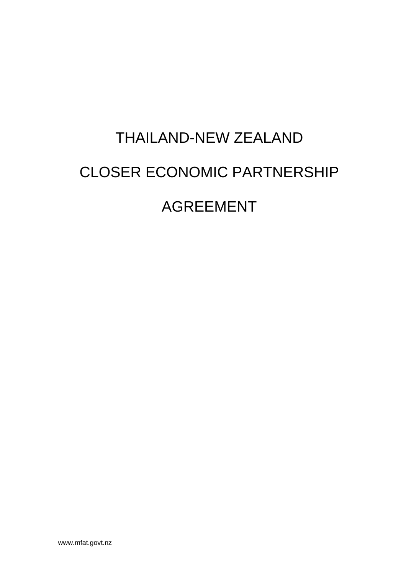# THAILAND-NEW ZEALAND CLOSER ECONOMIC PARTNERSHIP AGREEMENT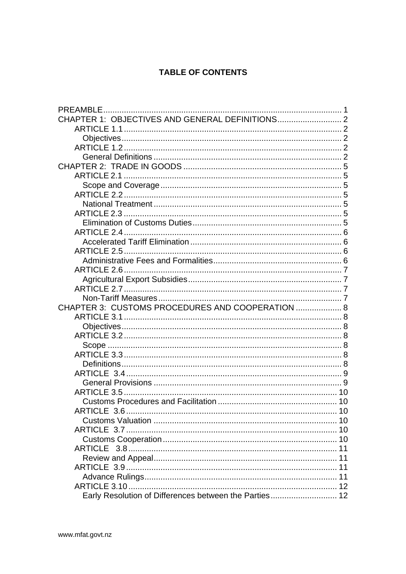# **TABLE OF CONTENTS**

| CHAPTER 1: OBJECTIVES AND GENERAL DEFINITIONS 2        |    |
|--------------------------------------------------------|----|
|                                                        |    |
|                                                        |    |
|                                                        |    |
|                                                        |    |
|                                                        |    |
|                                                        |    |
|                                                        |    |
|                                                        |    |
|                                                        |    |
|                                                        |    |
|                                                        |    |
|                                                        |    |
|                                                        |    |
|                                                        |    |
|                                                        |    |
|                                                        |    |
|                                                        |    |
|                                                        |    |
|                                                        |    |
| CHAPTER 3: CUSTOMS PROCEDURES AND COOPERATION  8       |    |
|                                                        |    |
|                                                        |    |
|                                                        |    |
|                                                        |    |
|                                                        |    |
|                                                        |    |
|                                                        |    |
|                                                        |    |
|                                                        |    |
|                                                        |    |
|                                                        | 10 |
|                                                        |    |
|                                                        |    |
|                                                        |    |
|                                                        |    |
|                                                        |    |
|                                                        |    |
|                                                        |    |
|                                                        |    |
|                                                        |    |
| Early Resolution of Differences between the Parties 12 |    |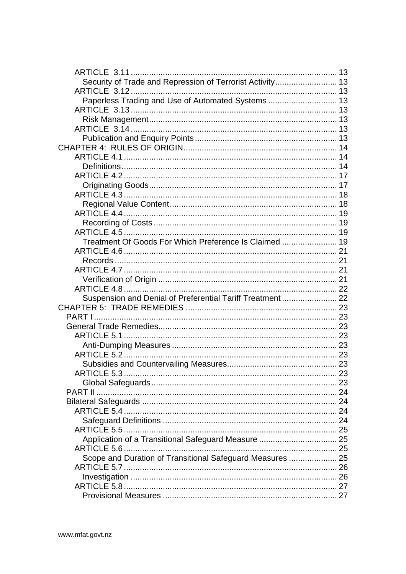| Security of Trade and Repression of Terrorist Activity 13 |  |
|-----------------------------------------------------------|--|
|                                                           |  |
| Paperless Trading and Use of Automated Systems  13        |  |
|                                                           |  |
|                                                           |  |
|                                                           |  |
|                                                           |  |
|                                                           |  |
|                                                           |  |
|                                                           |  |
|                                                           |  |
|                                                           |  |
|                                                           |  |
|                                                           |  |
|                                                           |  |
|                                                           |  |
|                                                           |  |
| Treatment Of Goods For Which Preference Is Claimed  19    |  |
|                                                           |  |
|                                                           |  |
|                                                           |  |
|                                                           |  |
|                                                           |  |
| Suspension and Denial of Preferential Tariff Treatment 22 |  |
|                                                           |  |
| <b>PART I</b>                                             |  |
|                                                           |  |
|                                                           |  |
|                                                           |  |
|                                                           |  |
|                                                           |  |
|                                                           |  |
|                                                           |  |
|                                                           |  |
|                                                           |  |
|                                                           |  |
|                                                           |  |
| Application of a Transitional Safeguard Measure  25       |  |
|                                                           |  |
| Scope and Duration of Transitional Safeguard Measures  25 |  |
|                                                           |  |
|                                                           |  |
|                                                           |  |
|                                                           |  |
|                                                           |  |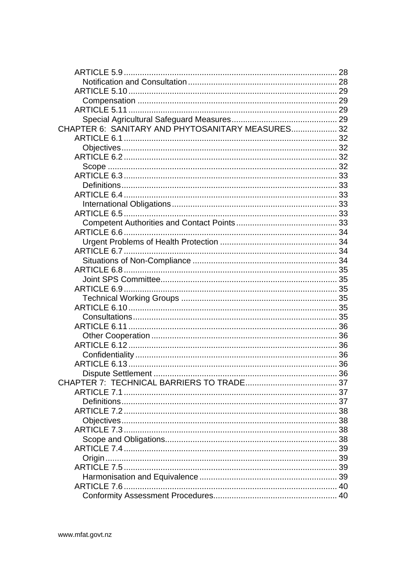| CHAPTER 6: SANITARY AND PHYTOSANITARY MEASURES 32 |  |
|---------------------------------------------------|--|
|                                                   |  |
|                                                   |  |
|                                                   |  |
|                                                   |  |
|                                                   |  |
|                                                   |  |
|                                                   |  |
|                                                   |  |
|                                                   |  |
|                                                   |  |
|                                                   |  |
|                                                   |  |
|                                                   |  |
|                                                   |  |
|                                                   |  |
|                                                   |  |
|                                                   |  |
|                                                   |  |
|                                                   |  |
|                                                   |  |
|                                                   |  |
|                                                   |  |
|                                                   |  |
|                                                   |  |
|                                                   |  |
|                                                   |  |
|                                                   |  |
|                                                   |  |
|                                                   |  |
|                                                   |  |
|                                                   |  |
|                                                   |  |
|                                                   |  |
|                                                   |  |
|                                                   |  |
|                                                   |  |
|                                                   |  |
|                                                   |  |
|                                                   |  |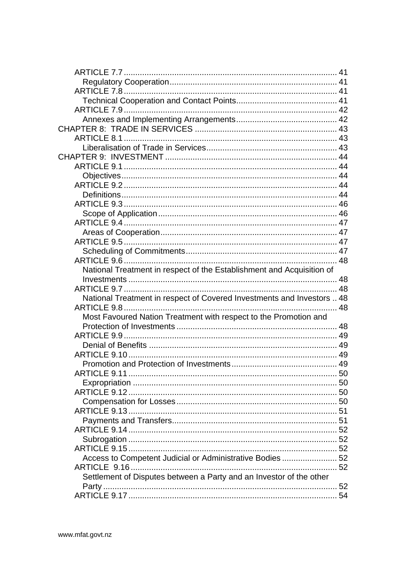| National Treatment in respect of the Establishment and Acquisition of  |  |
|------------------------------------------------------------------------|--|
|                                                                        |  |
|                                                                        |  |
| National Treatment in respect of Covered Investments and Investors  48 |  |
|                                                                        |  |
| Most Favoured Nation Treatment with respect to the Promotion and       |  |
|                                                                        |  |
|                                                                        |  |
|                                                                        |  |
|                                                                        |  |
|                                                                        |  |
|                                                                        |  |
|                                                                        |  |
|                                                                        |  |
|                                                                        |  |
|                                                                        |  |
|                                                                        |  |
|                                                                        |  |
|                                                                        |  |
|                                                                        |  |
| Access to Competent Judicial or Administrative Bodies  52              |  |
|                                                                        |  |
| Settlement of Disputes between a Party and an Investor of the other    |  |
|                                                                        |  |
|                                                                        |  |
|                                                                        |  |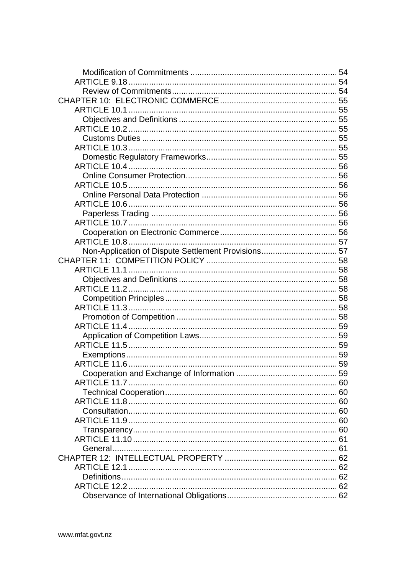| Non-Application of Dispute Settlement Provisions 57 |  |
|-----------------------------------------------------|--|
|                                                     |  |
|                                                     |  |
|                                                     |  |
|                                                     |  |
|                                                     |  |
|                                                     |  |
|                                                     |  |
|                                                     |  |
|                                                     |  |
|                                                     |  |
|                                                     |  |
|                                                     |  |
|                                                     |  |
|                                                     |  |
|                                                     |  |
|                                                     |  |
|                                                     |  |
|                                                     |  |
|                                                     |  |
|                                                     |  |
|                                                     |  |
|                                                     |  |
|                                                     |  |
|                                                     |  |
|                                                     |  |
|                                                     |  |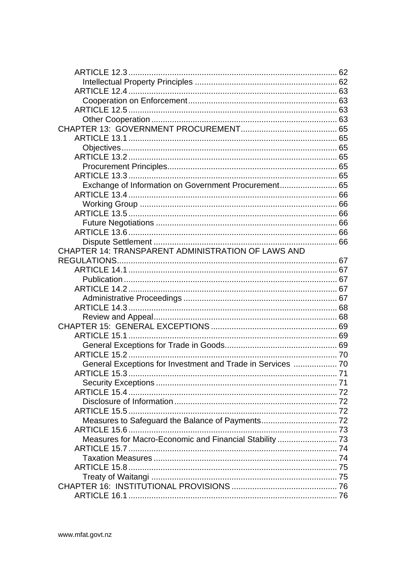| Exchange of Information on Government Procurement 65    |  |
|---------------------------------------------------------|--|
|                                                         |  |
|                                                         |  |
|                                                         |  |
|                                                         |  |
|                                                         |  |
|                                                         |  |
| CHAPTER 14: TRANSPARENT ADMINISTRATION OF LAWS AND      |  |
|                                                         |  |
|                                                         |  |
|                                                         |  |
|                                                         |  |
|                                                         |  |
|                                                         |  |
|                                                         |  |
|                                                         |  |
|                                                         |  |
|                                                         |  |
|                                                         |  |
|                                                         |  |
|                                                         |  |
|                                                         |  |
|                                                         |  |
|                                                         |  |
|                                                         |  |
|                                                         |  |
| Measures for Macro-Economic and Financial Stability  73 |  |
|                                                         |  |
|                                                         |  |
|                                                         |  |
|                                                         |  |
|                                                         |  |
|                                                         |  |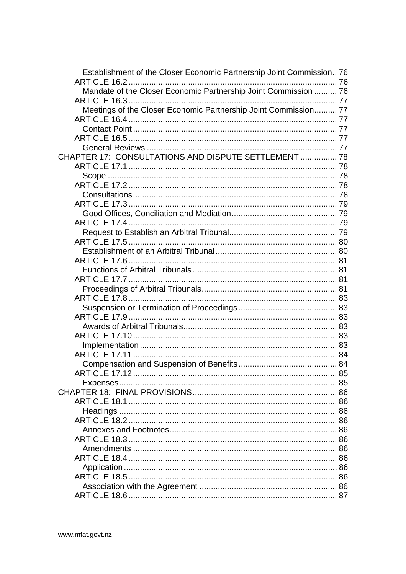| Establishment of the Closer Economic Partnership Joint Commission 76 |  |
|----------------------------------------------------------------------|--|
| Mandate of the Closer Economic Partnership Joint Commission  76      |  |
|                                                                      |  |
| Meetings of the Closer Economic Partnership Joint Commission 77      |  |
|                                                                      |  |
|                                                                      |  |
|                                                                      |  |
|                                                                      |  |
| CHAPTER 17: CONSULTATIONS AND DISPUTE SETTLEMENT  78                 |  |
|                                                                      |  |
|                                                                      |  |
|                                                                      |  |
|                                                                      |  |
|                                                                      |  |
|                                                                      |  |
|                                                                      |  |
|                                                                      |  |
|                                                                      |  |
|                                                                      |  |
|                                                                      |  |
|                                                                      |  |
|                                                                      |  |
|                                                                      |  |
|                                                                      |  |
|                                                                      |  |
|                                                                      |  |
|                                                                      |  |
|                                                                      |  |
|                                                                      |  |
|                                                                      |  |
|                                                                      |  |
|                                                                      |  |
|                                                                      |  |
|                                                                      |  |
|                                                                      |  |
|                                                                      |  |
|                                                                      |  |
|                                                                      |  |
|                                                                      |  |
|                                                                      |  |
|                                                                      |  |
|                                                                      |  |
|                                                                      |  |
|                                                                      |  |
|                                                                      |  |
|                                                                      |  |
|                                                                      |  |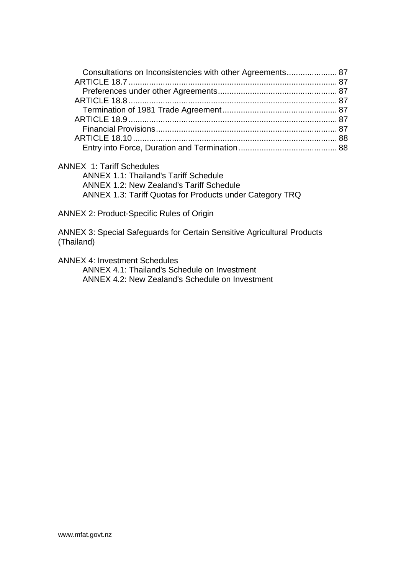| Consultations on Inconsistencies with other Agreements 87 |  |
|-----------------------------------------------------------|--|
|                                                           |  |
|                                                           |  |
|                                                           |  |
|                                                           |  |
|                                                           |  |
|                                                           |  |
|                                                           |  |
|                                                           |  |

ANNEX 1: Tariff Schedules ANNEX 1.1: Thailand's Tariff Schedule ANNEX 1.2: New Zealand's Tariff Schedule

ANNEX 1.3: Tariff Quotas for Products under Category TRQ

ANNEX 2: Product-Specific Rules of Origin

ANNEX 3: Special Safeguards for Certain Sensitive Agricultural Products (Thailand)

ANNEX 4: Investment Schedules ANNEX 4.1: Thailand's Schedule on Investment ANNEX 4.2: New Zealand's Schedule on Investment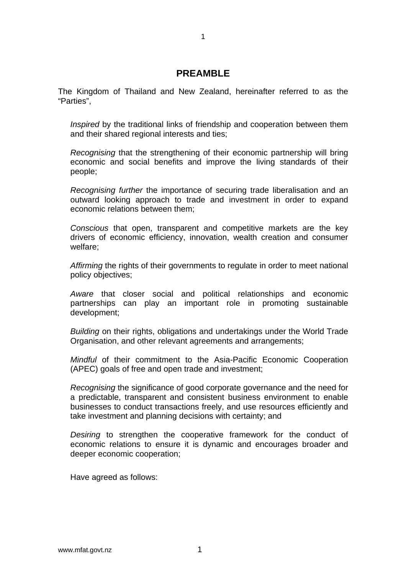## **PREAMBLE**

<span id="page-9-0"></span>The Kingdom of Thailand and New Zealand, hereinafter referred to as the "Parties",

*Inspired* by the traditional links of friendship and cooperation between them and their shared regional interests and ties;

*Recognising* that the strengthening of their economic partnership will bring economic and social benefits and improve the living standards of their people;

*Recognising further* the importance of securing trade liberalisation and an outward looking approach to trade and investment in order to expand economic relations between them;

*Conscious* that open, transparent and competitive markets are the key drivers of economic efficiency, innovation, wealth creation and consumer welfare;

*Affirming* the rights of their governments to regulate in order to meet national policy objectives;

*Aware* that closer social and political relationships and economic partnerships can play an important role in promoting sustainable development;

*Building* on their rights, obligations and undertakings under the World Trade Organisation, and other relevant agreements and arrangements;

*Mindful* of their commitment to the Asia-Pacific Economic Cooperation (APEC) goals of free and open trade and investment;

*Recognising* the significance of good corporate governance and the need for a predictable, transparent and consistent business environment to enable businesses to conduct transactions freely, and use resources efficiently and take investment and planning decisions with certainty; and

*Desiring* to strengthen the cooperative framework for the conduct of economic relations to ensure it is dynamic and encourages broader and deeper economic cooperation;

Have agreed as follows: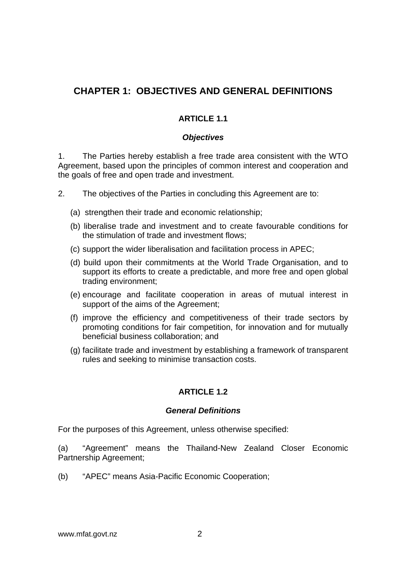# <span id="page-10-0"></span>**CHAPTER 1: OBJECTIVES AND GENERAL DEFINITIONS**

## **ARTICLE 1.1**

#### *Objectives*

1. The Parties hereby establish a free trade area consistent with the WTO Agreement, based upon the principles of common interest and cooperation and the goals of free and open trade and investment.

2. The objectives of the Parties in concluding this Agreement are to:

- (a) strengthen their trade and economic relationship;
- (b) liberalise trade and investment and to create favourable conditions for the stimulation of trade and investment flows;
- (c) support the wider liberalisation and facilitation process in APEC;
- (d) build upon their commitments at the World Trade Organisation, and to support its efforts to create a predictable, and more free and open global trading environment;
- (e) encourage and facilitate cooperation in areas of mutual interest in support of the aims of the Agreement;
- (f) improve the efficiency and competitiveness of their trade sectors by promoting conditions for fair competition, for innovation and for mutually beneficial business collaboration; and
- (g) facilitate trade and investment by establishing a framework of transparent rules and seeking to minimise transaction costs.

## **ARTICLE 1.2**

#### *General Definitions*

For the purposes of this Agreement, unless otherwise specified:

(a) "Agreement" means the Thailand-New Zealand Closer Economic Partnership Agreement;

(b) "APEC" means Asia-Pacific Economic Cooperation;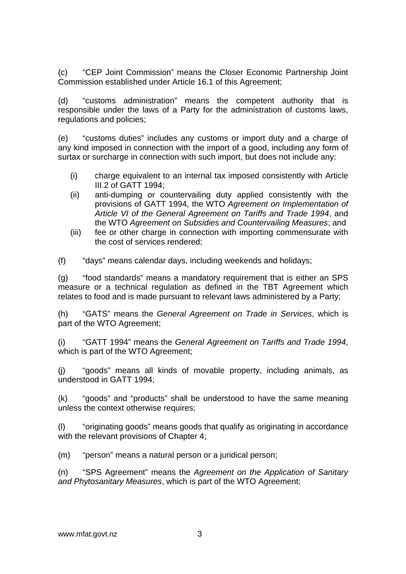(c) "CEP Joint Commission" means the Closer Economic Partnership Joint Commission established under Article 16.1 of this Agreement;

(d) "customs administration" means the competent authority that is responsible under the laws of a Party for the administration of customs laws, regulations and policies;

(e) "customs duties" includes any customs or import duty and a charge of any kind imposed in connection with the import of a good, including any form of surtax or surcharge in connection with such import, but does not include any:

- (i) charge equivalent to an internal tax imposed consistently with Article III.2 of GATT 1994;
- (ii) anti-dumping or countervailing duty applied consistently with the provisions of GATT 1994, the WTO *Agreement on Implementation of Article VI of the General Agreement on Tariffs and Trade 1994*, and the WTO *Agreement on Subsidies and Countervailing Measures*; and
- (iii) fee or other charge in connection with importing commensurate with the cost of services rendered;

(f) "days" means calendar days, including weekends and holidays;

(g) "food standards" means a mandatory requirement that is either an SPS measure or a technical regulation as defined in the TBT Agreement which relates to food and is made pursuant to relevant laws administered by a Party;

(h) "GATS" means the *General Agreement on Trade in Services*, which is part of the WTO Agreement;

(i) "GATT 1994" means the *General Agreement on Tariffs and Trade 1994*, which is part of the WTO Agreement;

(j) "goods" means all kinds of movable property, including animals, as understood in GATT 1994;

(k) "goods" and "products" shall be understood to have the same meaning unless the context otherwise requires;

(l) "originating goods" means goods that qualify as originating in accordance with the relevant provisions of Chapter 4;

(m) "person" means a natural person or a juridical person;

(n) "SPS Agreement" means the *Agreement on the Application of Sanitary and Phytosanitary Measures*, which is part of the WTO Agreement;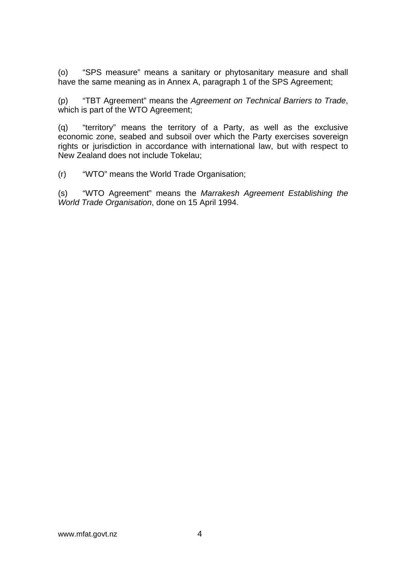(o) "SPS measure" means a sanitary or phytosanitary measure and shall have the same meaning as in Annex A, paragraph 1 of the SPS Agreement;

(p) "TBT Agreement" means the *Agreement on Technical Barriers to Trade*, which is part of the WTO Agreement;

(q) "territory" means the territory of a Party, as well as the exclusive economic zone, seabed and subsoil over which the Party exercises sovereign rights or jurisdiction in accordance with international law, but with respect to New Zealand does not include Tokelau;

(r) "WTO" means the World Trade Organisation;

(s) "WTO Agreement" means the *Marrakesh Agreement Establishing the World Trade Organisation*, done on 15 April 1994.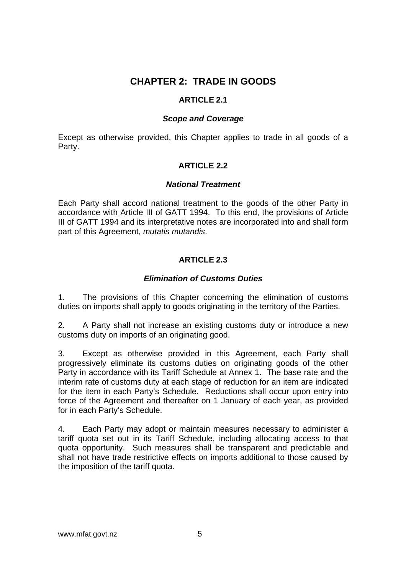# **CHAPTER 2: TRADE IN GOODS**

## **ARTICLE 2.1**

#### *Scope and Coverage*

<span id="page-13-0"></span>Except as otherwise provided, this Chapter applies to trade in all goods of a Party.

## **ARTICLE 2.2**

#### *National Treatment*

Each Party shall accord national treatment to the goods of the other Party in accordance with Article III of GATT 1994. To this end, the provisions of Article III of GATT 1994 and its interpretative notes are incorporated into and shall form part of this Agreement, *mutatis mutandis*.

## **ARTICLE 2.3**

#### *Elimination of Customs Duties*

1. The provisions of this Chapter concerning the elimination of customs duties on imports shall apply to goods originating in the territory of the Parties.

2. A Party shall not increase an existing customs duty or introduce a new customs duty on imports of an originating good.

3. Except as otherwise provided in this Agreement, each Party shall progressively eliminate its customs duties on originating goods of the other Party in accordance with its Tariff Schedule at Annex 1. The base rate and the interim rate of customs duty at each stage of reduction for an item are indicated for the item in each Party's Schedule. Reductions shall occur upon entry into force of the Agreement and thereafter on 1 January of each year, as provided for in each Party's Schedule.

4. Each Party may adopt or maintain measures necessary to administer a tariff quota set out in its Tariff Schedule, including allocating access to that quota opportunity. Such measures shall be transparent and predictable and shall not have trade restrictive effects on imports additional to those caused by the imposition of the tariff quota.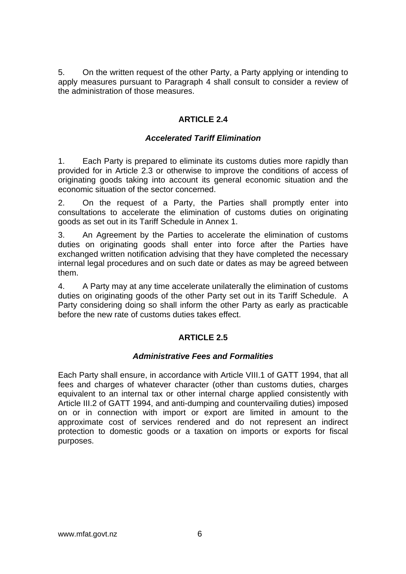<span id="page-14-0"></span>5. On the written request of the other Party, a Party applying or intending to apply measures pursuant to Paragraph 4 shall consult to consider a review of the administration of those measures.

## **ARTICLE 2.4**

## *Accelerated Tariff Elimination*

1. Each Party is prepared to eliminate its customs duties more rapidly than provided for in Article 2.3 or otherwise to improve the conditions of access of originating goods taking into account its general economic situation and the economic situation of the sector concerned.

2. On the request of a Party, the Parties shall promptly enter into consultations to accelerate the elimination of customs duties on originating goods as set out in its Tariff Schedule in Annex 1.

3. An Agreement by the Parties to accelerate the elimination of customs duties on originating goods shall enter into force after the Parties have exchanged written notification advising that they have completed the necessary internal legal procedures and on such date or dates as may be agreed between them.

4. A Party may at any time accelerate unilaterally the elimination of customs duties on originating goods of the other Party set out in its Tariff Schedule. A Party considering doing so shall inform the other Party as early as practicable before the new rate of customs duties takes effect.

## **ARTICLE 2.5**

#### *Administrative Fees and Formalities*

Each Party shall ensure, in accordance with Article VIII.1 of GATT 1994, that all fees and charges of whatever character (other than customs duties, charges equivalent to an internal tax or other internal charge applied consistently with Article III.2 of GATT 1994, and anti-dumping and countervailing duties) imposed on or in connection with import or export are limited in amount to the approximate cost of services rendered and do not represent an indirect protection to domestic goods or a taxation on imports or exports for fiscal purposes.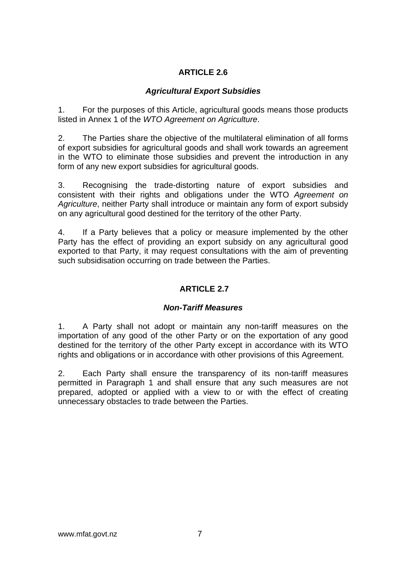## **ARTICLE 2.6**

## *Agricultural Export Subsidies*

<span id="page-15-0"></span>1. For the purposes of this Article, agricultural goods means those products listed in Annex 1 of the *WTO Agreement on Agriculture*.

2. The Parties share the objective of the multilateral elimination of all forms of export subsidies for agricultural goods and shall work towards an agreement in the WTO to eliminate those subsidies and prevent the introduction in any form of any new export subsidies for agricultural goods.

3. Recognising the trade-distorting nature of export subsidies and consistent with their rights and obligations under the WTO *Agreement on Agriculture*, neither Party shall introduce or maintain any form of export subsidy on any agricultural good destined for the territory of the other Party.

4. If a Party believes that a policy or measure implemented by the other Party has the effect of providing an export subsidy on any agricultural good exported to that Party, it may request consultations with the aim of preventing such subsidisation occurring on trade between the Parties.

## **ARTICLE 2.7**

## *Non-Tariff Measures*

1. A Party shall not adopt or maintain any non-tariff measures on the importation of any good of the other Party or on the exportation of any good destined for the territory of the other Party except in accordance with its WTO rights and obligations or in accordance with other provisions of this Agreement.

2. Each Party shall ensure the transparency of its non-tariff measures permitted in Paragraph 1 and shall ensure that any such measures are not prepared, adopted or applied with a view to or with the effect of creating unnecessary obstacles to trade between the Parties.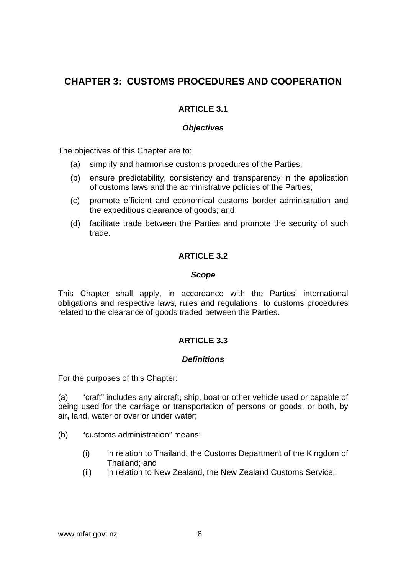# <span id="page-16-0"></span>**CHAPTER 3: CUSTOMS PROCEDURES AND COOPERATION**

## **ARTICLE 3.1**

## *Objectives*

The objectives of this Chapter are to:

- (a) simplify and harmonise customs procedures of the Parties;
- (b) ensure predictability, consistency and transparency in the application of customs laws and the administrative policies of the Parties;
- (c) promote efficient and economical customs border administration and the expeditious clearance of goods; and
- (d) facilitate trade between the Parties and promote the security of such trade.

## **ARTICLE 3.2**

#### *Scope*

This Chapter shall apply, in accordance with the Parties' international obligations and respective laws, rules and regulations, to customs procedures related to the clearance of goods traded between the Parties.

## **ARTICLE 3.3**

#### *Definitions*

For the purposes of this Chapter:

(a) "craft" includes any aircraft, ship, boat or other vehicle used or capable of being used for the carriage or transportation of persons or goods, or both, by air**,** land, water or over or under water;

- (b) "customs administration" means:
	- (i) in relation to Thailand, the Customs Department of the Kingdom of Thailand; and
	- (ii) in relation to New Zealand, the New Zealand Customs Service;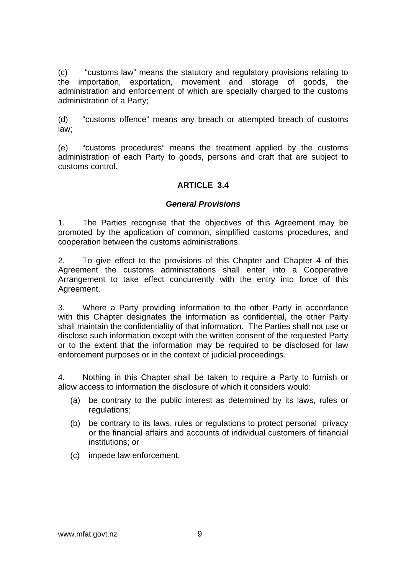<span id="page-17-0"></span>(c) "customs law" means the statutory and regulatory provisions relating to the importation, exportation, movement and storage of goods, the administration and enforcement of which are specially charged to the customs administration of a Party;

(d) "customs offence" means any breach or attempted breach of customs law;

(e) "customs procedures" means the treatment applied by the customs administration of each Party to goods, persons and craft that are subject to customs control.

#### **ARTICLE 3.4**

#### *General Provisions*

1. The Parties recognise that the objectives of this Agreement may be promoted by the application of common, simplified customs procedures, and cooperation between the customs administrations.

2. To give effect to the provisions of this Chapter and Chapter 4 of this Agreement the customs administrations shall enter into a Cooperative Arrangement to take effect concurrently with the entry into force of this Agreement.

3. Where a Party providing information to the other Party in accordance with this Chapter designates the information as confidential, the other Party shall maintain the confidentiality of that information. The Parties shall not use or disclose such information except with the written consent of the requested Party or to the extent that the information may be required to be disclosed for law enforcement purposes or in the context of judicial proceedings.

4. Nothing in this Chapter shall be taken to require a Party to furnish or allow access to information the disclosure of which it considers would:

- (a) be contrary to the public interest as determined by its laws, rules or regulations;
- (b) be contrary to its laws, rules or regulations to protect personal privacy or the financial affairs and accounts of individual customers of financial institutions; or
- (c) impede law enforcement.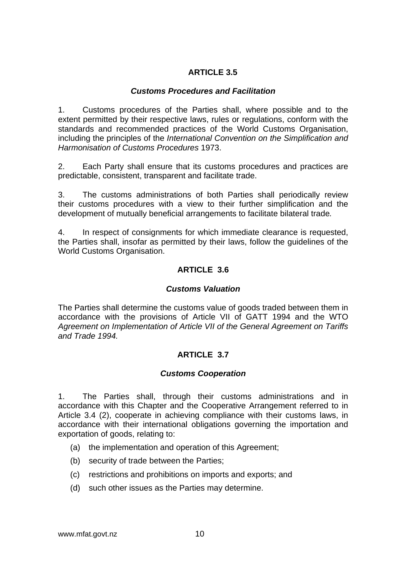## **ARTICLE 3.5**

#### *Customs Procedures and Facilitation*

<span id="page-18-0"></span>1. Customs procedures of the Parties shall, where possible and to the extent permitted by their respective laws, rules or regulations, conform with the standards and recommended practices of the World Customs Organisation, including the principles of the *International Convention on the Simplification and Harmonisation of Customs Procedures* 1973.

2. Each Party shall ensure that its customs procedures and practices are predictable, consistent, transparent and facilitate trade.

3. The customs administrations of both Parties shall periodically review their customs procedures with a view to their further simplification and the development of mutually beneficial arrangements to facilitate bilateral trade*.* 

4. In respect of consignments for which immediate clearance is requested, the Parties shall, insofar as permitted by their laws, follow the guidelines of the World Customs Organisation.

## **ARTICLE 3.6**

#### *Customs Valuation*

The Parties shall determine the customs value of goods traded between them in accordance with the provisions of Article VII of GATT 1994 and the WTO *Agreement on Implementation of Article VII of the General Agreement on Tariffs and Trade 1994.* 

## **ARTICLE 3.7**

#### *Customs Cooperation*

1. The Parties shall, through their customs administrations and in accordance with this Chapter and the Cooperative Arrangement referred to in Article 3.4 (2), cooperate in achieving compliance with their customs laws, in accordance with their international obligations governing the importation and exportation of goods, relating to:

- (a) the implementation and operation of this Agreement;
- (b) security of trade between the Parties;
- (c) restrictions and prohibitions on imports and exports; and
- (d) such other issues as the Parties may determine.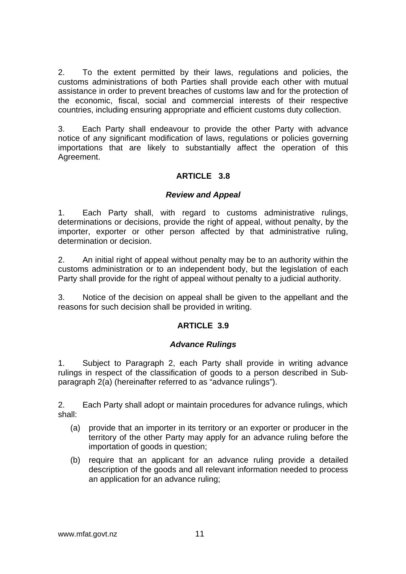<span id="page-19-0"></span>2. To the extent permitted by their laws, regulations and policies, the customs administrations of both Parties shall provide each other with mutual assistance in order to prevent breaches of customs law and for the protection of the economic, fiscal, social and commercial interests of their respective countries, including ensuring appropriate and efficient customs duty collection.

3. Each Party shall endeavour to provide the other Party with advance notice of any significant modification of laws, regulations or policies governing importations that are likely to substantially affect the operation of this Agreement.

## **ARTICLE 3.8**

#### *Review and Appeal*

1. Each Party shall, with regard to customs administrative rulings, determinations or decisions, provide the right of appeal, without penalty, by the importer, exporter or other person affected by that administrative ruling, determination or decision.

2. An initial right of appeal without penalty may be to an authority within the customs administration or to an independent body, but the legislation of each Party shall provide for the right of appeal without penalty to a judicial authority.

3. Notice of the decision on appeal shall be given to the appellant and the reasons for such decision shall be provided in writing.

## **ARTICLE 3.9**

#### *Advance Rulings*

1. Subject to Paragraph 2, each Party shall provide in writing advance rulings in respect of the classification of goods to a person described in Subparagraph 2(a) (hereinafter referred to as "advance rulings").

2. Each Party shall adopt or maintain procedures for advance rulings, which shall:

- (a) provide that an importer in its territory or an exporter or producer in the territory of the other Party may apply for an advance ruling before the importation of goods in question;
- (b) require that an applicant for an advance ruling provide a detailed description of the goods and all relevant information needed to process an application for an advance ruling;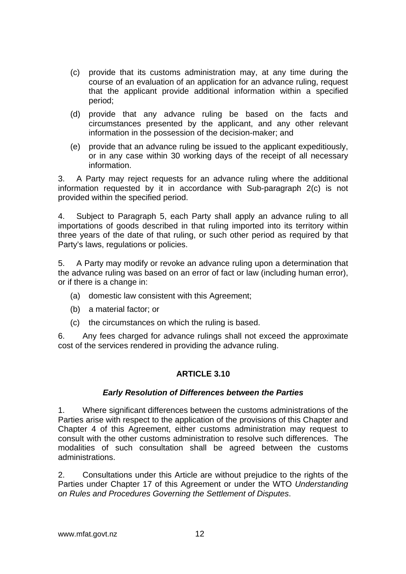- <span id="page-20-0"></span>(c) provide that its customs administration may, at any time during the course of an evaluation of an application for an advance ruling, request that the applicant provide additional information within a specified period;
- (d) provide that any advance ruling be based on the facts and circumstances presented by the applicant, and any other relevant information in the possession of the decision-maker; and
- (e) provide that an advance ruling be issued to the applicant expeditiously, or in any case within 30 working days of the receipt of all necessary information.

3. A Party may reject requests for an advance ruling where the additional information requested by it in accordance with Sub-paragraph 2(c) is not provided within the specified period.

4. Subject to Paragraph 5, each Party shall apply an advance ruling to all importations of goods described in that ruling imported into its territory within three years of the date of that ruling, or such other period as required by that Party's laws, regulations or policies.

5. A Party may modify or revoke an advance ruling upon a determination that the advance ruling was based on an error of fact or law (including human error), or if there is a change in:

- (a) domestic law consistent with this Agreement;
- (b) a material factor; or
- (c) the circumstances on which the ruling is based.

6. Any fees charged for advance rulings shall not exceed the approximate cost of the services rendered in providing the advance ruling.

## **ARTICLE 3.10**

#### *Early Resolution of Differences between the Parties*

1. Where significant differences between the customs administrations of the Parties arise with respect to the application of the provisions of this Chapter and Chapter 4 of this Agreement, either customs administration may request to consult with the other customs administration to resolve such differences. The modalities of such consultation shall be agreed between the customs administrations.

2. Consultations under this Article are without prejudice to the rights of the Parties under Chapter 17 of this Agreement or under the WTO *Understanding on Rules and Procedures Governing the Settlement of Disputes*.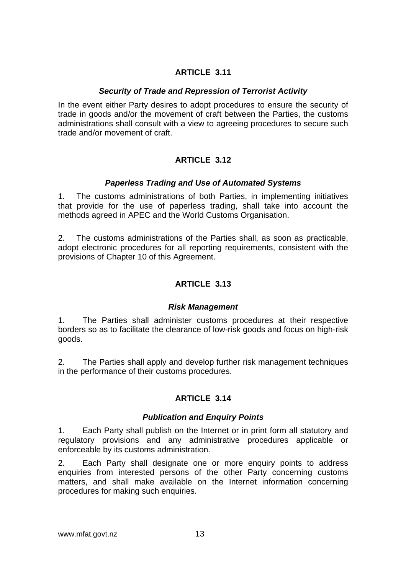## **ARTICLE 3.11**

## *Security of Trade and Repression of Terrorist Activity*

<span id="page-21-0"></span>In the event either Party desires to adopt procedures to ensure the security of trade in goods and/or the movement of craft between the Parties, the customs administrations shall consult with a view to agreeing procedures to secure such trade and/or movement of craft.

## **ARTICLE 3.12**

#### *Paperless Trading and Use of Automated Systems*

1. The customs administrations of both Parties, in implementing initiatives that provide for the use of paperless trading, shall take into account the methods agreed in APEC and the World Customs Organisation.

2. The customs administrations of the Parties shall, as soon as practicable, adopt electronic procedures for all reporting requirements, consistent with the provisions of Chapter 10 of this Agreement.

## **ARTICLE 3.13**

#### *Risk Management*

1. The Parties shall administer customs procedures at their respective borders so as to facilitate the clearance of low-risk goods and focus on high-risk goods.

2. The Parties shall apply and develop further risk management techniques in the performance of their customs procedures.

## **ARTICLE 3.14**

#### *Publication and Enquiry Points*

1. Each Party shall publish on the Internet or in print form all statutory and regulatory provisions and any administrative procedures applicable or enforceable by its customs administration.

2. Each Party shall designate one or more enquiry points to address enquiries from interested persons of the other Party concerning customs matters, and shall make available on the Internet information concerning procedures for making such enquiries.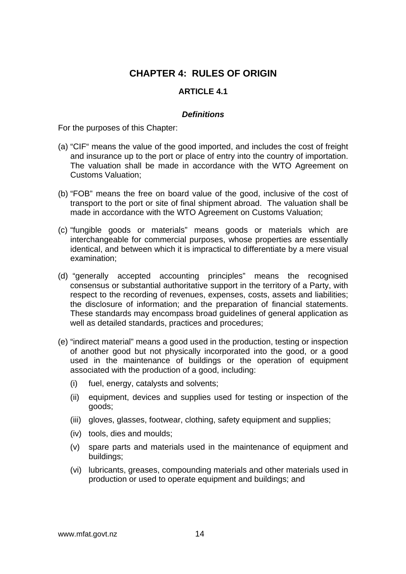# **CHAPTER 4: RULES OF ORIGIN**

## **ARTICLE 4.1**

#### *Definitions*

<span id="page-22-0"></span>For the purposes of this Chapter:

- (a) "CIF" means the value of the good imported, and includes the cost of freight and insurance up to the port or place of entry into the country of importation. The valuation shall be made in accordance with the WTO Agreement on Customs Valuation;
- (b) "FOB" means the free on board value of the good, inclusive of the cost of transport to the port or site of final shipment abroad. The valuation shall be made in accordance with the WTO Agreement on Customs Valuation;
- (c) "fungible goods or materials" means goods or materials which are interchangeable for commercial purposes, whose properties are essentially identical, and between which it is impractical to differentiate by a mere visual examination;
- (d) "generally accepted accounting principles" means the recognised consensus or substantial authoritative support in the territory of a Party, with respect to the recording of revenues, expenses, costs, assets and liabilities; the disclosure of information; and the preparation of financial statements. These standards may encompass broad guidelines of general application as well as detailed standards, practices and procedures;
- (e) "indirect material" means a good used in the production, testing or inspection of another good but not physically incorporated into the good, or a good used in the maintenance of buildings or the operation of equipment associated with the production of a good, including:
	- (i) fuel, energy, catalysts and solvents;
	- (ii) equipment, devices and supplies used for testing or inspection of the goods;
	- (iii) gloves, glasses, footwear, clothing, safety equipment and supplies;
	- (iv) tools, dies and moulds;
	- (v) spare parts and materials used in the maintenance of equipment and buildings;
	- (vi) lubricants, greases, compounding materials and other materials used in production or used to operate equipment and buildings; and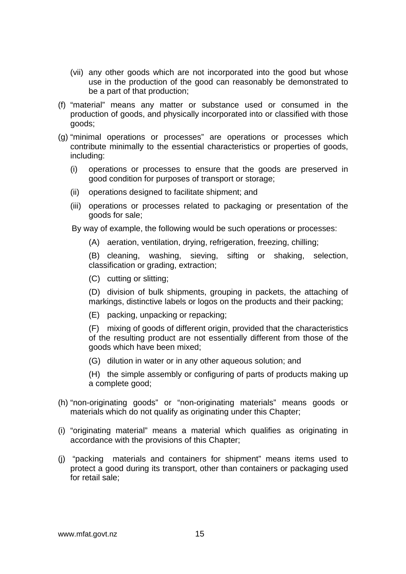- (vii) any other goods which are not incorporated into the good but whose use in the production of the good can reasonably be demonstrated to be a part of that production;
- (f) "material" means any matter or substance used or consumed in the production of goods, and physically incorporated into or classified with those goods;
- (g) "minimal operations or processes" are operations or processes which contribute minimally to the essential characteristics or properties of goods, including:
	- (i) operations or processes to ensure that the goods are preserved in good condition for purposes of transport or storage;
	- (ii) operations designed to facilitate shipment; and
	- (iii) operations or processes related to packaging or presentation of the goods for sale;

By way of example, the following would be such operations or processes:

(A) aeration, ventilation, drying, refrigeration, freezing, chilling;

(B) cleaning, washing, sieving, sifting or shaking, selection, classification or grading, extraction;

(C) cutting or slitting;

(D) division of bulk shipments, grouping in packets, the attaching of markings, distinctive labels or logos on the products and their packing;

(E) packing, unpacking or repacking;

(F) mixing of goods of different origin, provided that the characteristics of the resulting product are not essentially different from those of the goods which have been mixed;

(G) dilution in water or in any other aqueous solution; and

(H) the simple assembly or configuring of parts of products making up a complete good;

- (h) "non-originating goods" or "non-originating materials" means goods or materials which do not qualify as originating under this Chapter;
- (i) "originating material" means a material which qualifies as originating in accordance with the provisions of this Chapter;
- (j) "packing materials and containers for shipment" means items used to protect a good during its transport, other than containers or packaging used for retail sale;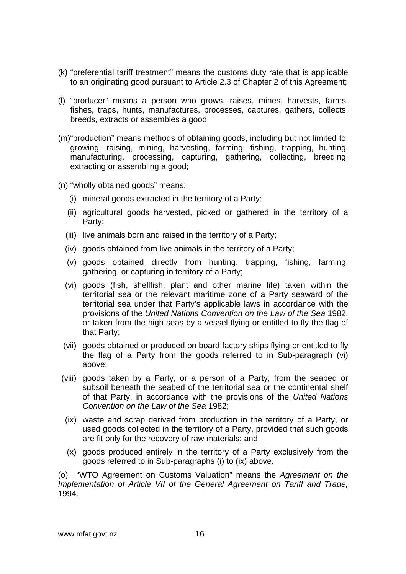- (k) "preferential tariff treatment" means the customs duty rate that is applicable to an originating good pursuant to Article 2.3 of Chapter 2 of this Agreement;
- (l) "producer" means a person who grows, raises, mines, harvests, farms, fishes, traps, hunts, manufactures, processes, captures, gathers, collects, breeds, extracts or assembles a good;
- (m)"production" means methods of obtaining goods, including but not limited to, growing, raising, mining, harvesting, farming, fishing, trapping, hunting, manufacturing, processing, capturing, gathering, collecting, breeding, extracting or assembling a good;
- (n) "wholly obtained goods" means:
	- (i) mineral goods extracted in the territory of a Party;
	- (ii) agricultural goods harvested, picked or gathered in the territory of a Party;
	- (iii) live animals born and raised in the territory of a Party;
	- (iv) goods obtained from live animals in the territory of a Party;
	- (v) goods obtained directly from hunting, trapping, fishing, farming, gathering, or capturing in territory of a Party;
	- (vi) goods (fish, shellfish, plant and other marine life) taken within the territorial sea or the relevant maritime zone of a Party seaward of the territorial sea under that Party's applicable laws in accordance with the provisions of the *United Nations Convention on the Law of the Sea* 1982, or taken from the high seas by a vessel flying or entitled to fly the flag of that Party;
	- (vii) goods obtained or produced on board factory ships flying or entitled to fly the flag of a Party from the goods referred to in Sub-paragraph (vi) above;
- (viii) goods taken by a Party, or a person of a Party, from the seabed or subsoil beneath the seabed of the territorial sea or the continental shelf of that Party, in accordance with the provisions of the *United Nations Convention on the Law of the Sea* 1982;
- (ix) waste and scrap derived from production in the territory of a Party, or used goods collected in the territory of a Party, provided that such goods are fit only for the recovery of raw materials; and
- (x) goods produced entirely in the territory of a Party exclusively from the goods referred to in Sub-paragraphs (i) to (ix) above.

(o) "WTO Agreement on Customs Valuation" means the *Agreement on the Implementation of Article VII of the General Agreement on Tariff and Trade,* 1994.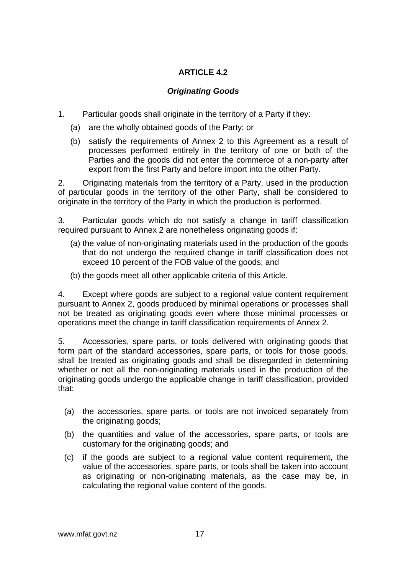## **ARTICLE 4.2**

## *Originating Goods*

- <span id="page-25-0"></span>1. Particular goods shall originate in the territory of a Party if they:
	- (a) are the wholly obtained goods of the Party; or
	- (b) satisfy the requirements of Annex 2 to this Agreement as a result of processes performed entirely in the territory of one or both of the Parties and the goods did not enter the commerce of a non-party after export from the first Party and before import into the other Party.

2. Originating materials from the territory of a Party, used in the production of particular goods in the territory of the other Party, shall be considered to originate in the territory of the Party in which the production is performed.

3. Particular goods which do not satisfy a change in tariff classification required pursuant to Annex 2 are nonetheless originating goods if:

- (a) the value of non-originating materials used in the production of the goods that do not undergo the required change in tariff classification does not exceed 10 percent of the FOB value of the goods; and
- (b) the goods meet all other applicable criteria of this Article.

4. Except where goods are subject to a regional value content requirement pursuant to Annex 2, goods produced by minimal operations or processes shall not be treated as originating goods even where those minimal processes or operations meet the change in tariff classification requirements of Annex 2.

5. Accessories, spare parts, or tools delivered with originating goods that form part of the standard accessories, spare parts, or tools for those goods, shall be treated as originating goods and shall be disregarded in determining whether or not all the non-originating materials used in the production of the originating goods undergo the applicable change in tariff classification, provided that:

- (a) the accessories, spare parts, or tools are not invoiced separately from the originating goods;
- (b) the quantities and value of the accessories, spare parts, or tools are customary for the originating goods; and
- (c) if the goods are subject to a regional value content requirement, the value of the accessories, spare parts, or tools shall be taken into account as originating or non-originating materials, as the case may be, in calculating the regional value content of the goods.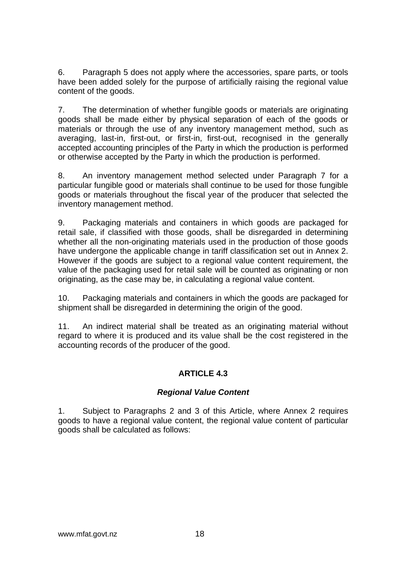<span id="page-26-0"></span>6. Paragraph 5 does not apply where the accessories, spare parts, or tools have been added solely for the purpose of artificially raising the regional value content of the goods.

7. The determination of whether fungible goods or materials are originating goods shall be made either by physical separation of each of the goods or materials or through the use of any inventory management method, such as averaging, last-in, first-out, or first-in, first-out, recognised in the generally accepted accounting principles of the Party in which the production is performed or otherwise accepted by the Party in which the production is performed.

8. An inventory management method selected under Paragraph 7 for a particular fungible good or materials shall continue to be used for those fungible goods or materials throughout the fiscal year of the producer that selected the inventory management method.

9. Packaging materials and containers in which goods are packaged for retail sale, if classified with those goods, shall be disregarded in determining whether all the non-originating materials used in the production of those goods have undergone the applicable change in tariff classification set out in Annex 2. However if the goods are subject to a regional value content requirement, the value of the packaging used for retail sale will be counted as originating or non originating, as the case may be, in calculating a regional value content.

10. Packaging materials and containers in which the goods are packaged for shipment shall be disregarded in determining the origin of the good.

11. An indirect material shall be treated as an originating material without regard to where it is produced and its value shall be the cost registered in the accounting records of the producer of the good.

## **ARTICLE 4.3**

## *Regional Value Content*

1. Subject to Paragraphs 2 and 3 of this Article, where Annex 2 requires goods to have a regional value content, the regional value content of particular goods shall be calculated as follows: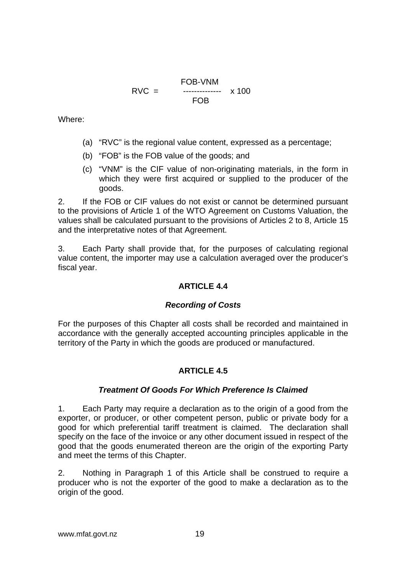$$
RVC = \begin{array}{c} \nFOB-VNM \\
\n\text{FOB} \\
\n\end{array} \quad \text{x 100}
$$

<span id="page-27-0"></span>Where:

- (a) "RVC" is the regional value content, expressed as a percentage;
- (b) "FOB" is the FOB value of the goods; and
- (c) "VNM" is the CIF value of non-originating materials, in the form in which they were first acquired or supplied to the producer of the goods.

2. If the FOB or CIF values do not exist or cannot be determined pursuant to the provisions of Article 1 of the WTO Agreement on Customs Valuation, the values shall be calculated pursuant to the provisions of Articles 2 to 8, Article 15 and the interpretative notes of that Agreement.

3. Each Party shall provide that, for the purposes of calculating regional value content, the importer may use a calculation averaged over the producer's fiscal year.

#### **ARTICLE 4.4**

#### *Recording of Costs*

For the purposes of this Chapter all costs shall be recorded and maintained in accordance with the generally accepted accounting principles applicable in the territory of the Party in which the goods are produced or manufactured.

## **ARTICLE 4.5**

#### *Treatment Of Goods For Which Preference Is Claimed*

1. Each Party may require a declaration as to the origin of a good from the exporter, or producer, or other competent person, public or private body for a good for which preferential tariff treatment is claimed. The declaration shall specify on the face of the invoice or any other document issued in respect of the good that the goods enumerated thereon are the origin of the exporting Party and meet the terms of this Chapter.

2. Nothing in Paragraph 1 of this Article shall be construed to require a producer who is not the exporter of the good to make a declaration as to the origin of the good.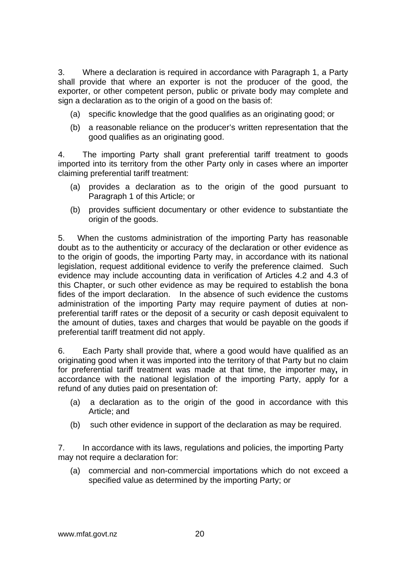3. Where a declaration is required in accordance with Paragraph 1, a Party shall provide that where an exporter is not the producer of the good, the exporter, or other competent person, public or private body may complete and sign a declaration as to the origin of a good on the basis of:

- (a) specific knowledge that the good qualifies as an originating good; or
- (b) a reasonable reliance on the producer's written representation that the good qualifies as an originating good.

4. The importing Party shall grant preferential tariff treatment to goods imported into its territory from the other Party only in cases where an importer claiming preferential tariff treatment:

- (a) provides a declaration as to the origin of the good pursuant to Paragraph 1 of this Article; or
- (b) provides sufficient documentary or other evidence to substantiate the origin of the goods.

5. When the customs administration of the importing Party has reasonable doubt as to the authenticity or accuracy of the declaration or other evidence as to the origin of goods, the importing Party may, in accordance with its national legislation, request additional evidence to verify the preference claimed. Such evidence may include accounting data in verification of Articles 4.2 and 4.3 of this Chapter, or such other evidence as may be required to establish the bona fides of the import declaration. In the absence of such evidence the customs administration of the importing Party may require payment of duties at nonpreferential tariff rates or the deposit of a security or cash deposit equivalent to the amount of duties, taxes and charges that would be payable on the goods if preferential tariff treatment did not apply.

6. Each Party shall provide that, where a good would have qualified as an originating good when it was imported into the territory of that Party but no claim for preferential tariff treatment was made at that time, the importer may**,** in accordance with the national legislation of the importing Party, apply for a refund of any duties paid on presentation of:

- (a) a declaration as to the origin of the good in accordance with this Article; and
- (b) such other evidence in support of the declaration as may be required.

7. In accordance with its laws, regulations and policies, the importing Party may not require a declaration for:

(a) commercial and non-commercial importations which do not exceed a specified value as determined by the importing Party; or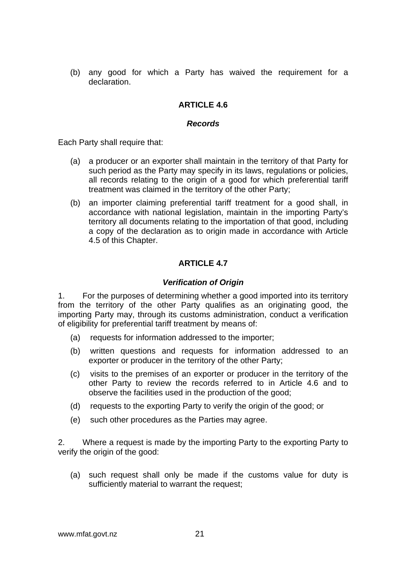<span id="page-29-0"></span>(b) any good for which a Party has waived the requirement for a declaration.

#### **ARTICLE 4.6**

#### *Records*

Each Party shall require that:

- (a) a producer or an exporter shall maintain in the territory of that Party for such period as the Party may specify in its laws, regulations or policies, all records relating to the origin of a good for which preferential tariff treatment was claimed in the territory of the other Party;
- (b) an importer claiming preferential tariff treatment for a good shall, in accordance with national legislation, maintain in the importing Party's territory all documents relating to the importation of that good, including a copy of the declaration as to origin made in accordance with Article 4.5 of this Chapter.

## **ARTICLE 4.7**

#### *Verification of Origin*

1. For the purposes of determining whether a good imported into its territory from the territory of the other Party qualifies as an originating good, the importing Party may, through its customs administration, conduct a verification of eligibility for preferential tariff treatment by means of:

- (a) requests for information addressed to the importer;
- (b) written questions and requests for information addressed to an exporter or producer in the territory of the other Party;
- (c) visits to the premises of an exporter or producer in the territory of the other Party to review the records referred to in Article 4.6 and to observe the facilities used in the production of the good;
- (d) requests to the exporting Party to verify the origin of the good; or
- (e) such other procedures as the Parties may agree.

2. Where a request is made by the importing Party to the exporting Party to verify the origin of the good:

(a) such request shall only be made if the customs value for duty is sufficiently material to warrant the request;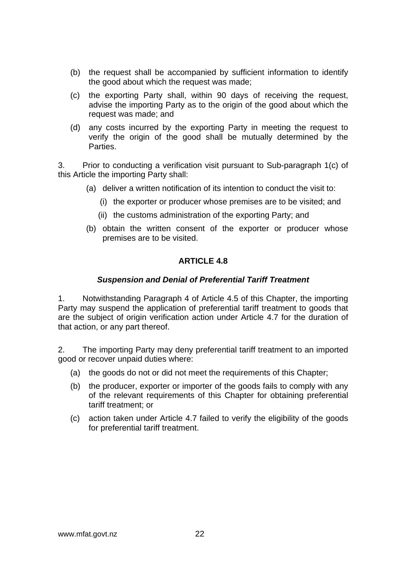- <span id="page-30-0"></span>(b) the request shall be accompanied by sufficient information to identify the good about which the request was made;
- (c) the exporting Party shall, within 90 days of receiving the request, advise the importing Party as to the origin of the good about which the request was made; and
- (d) any costs incurred by the exporting Party in meeting the request to verify the origin of the good shall be mutually determined by the Parties.

3. Prior to conducting a verification visit pursuant to Sub-paragraph 1(c) of this Article the importing Party shall:

- (a) deliver a written notification of its intention to conduct the visit to:
	- (i) the exporter or producer whose premises are to be visited; and
	- (ii) the customs administration of the exporting Party; and
- (b) obtain the written consent of the exporter or producer whose premises are to be visited.

#### **ARTICLE 4.8**

#### *Suspension and Denial of Preferential Tariff Treatment*

1. Notwithstanding Paragraph 4 of Article 4.5 of this Chapter, the importing Party may suspend the application of preferential tariff treatment to goods that are the subject of origin verification action under Article 4.7 for the duration of that action, or any part thereof.

2. The importing Party may deny preferential tariff treatment to an imported good or recover unpaid duties where:

- (a) the goods do not or did not meet the requirements of this Chapter;
- (b) the producer, exporter or importer of the goods fails to comply with any of the relevant requirements of this Chapter for obtaining preferential tariff treatment; or
- (c) action taken under Article 4.7 failed to verify the eligibility of the goods for preferential tariff treatment.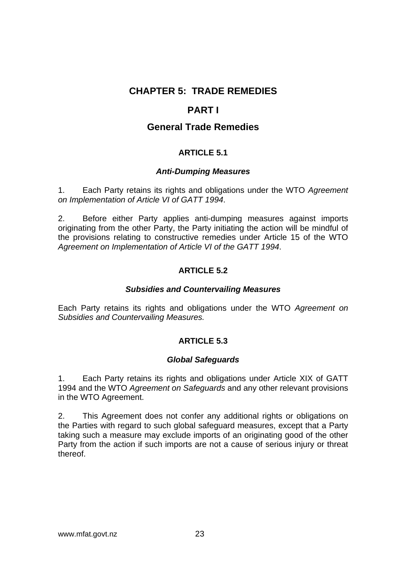# <span id="page-31-0"></span>**CHAPTER 5: TRADE REMEDIES**

# **PART I**

## **General Trade Remedies**

## **ARTICLE 5.1**

#### *Anti-Dumping Measures*

1. Each Party retains its rights and obligations under the WTO *Agreement on Implementation of Article VI of GATT 1994*.

2. Before either Party applies anti-dumping measures against imports originating from the other Party, the Party initiating the action will be mindful of the provisions relating to constructive remedies under Article 15 of the WTO *Agreement on Implementation of Article VI of the GATT 1994*.

#### **ARTICLE 5.2**

#### *Subsidies and Countervailing Measures*

Each Party retains its rights and obligations under the WTO *Agreement on Subsidies and Countervailing Measures.*

#### **ARTICLE 5.3**

#### *Global Safeguards*

1. Each Party retains its rights and obligations under Article XIX of GATT 1994 and the WTO *Agreement on Safeguards* and any other relevant provisions in the WTO Agreement.

2. This Agreement does not confer any additional rights or obligations on the Parties with regard to such global safeguard measures, except that a Party taking such a measure may exclude imports of an originating good of the other Party from the action if such imports are not a cause of serious injury or threat thereof.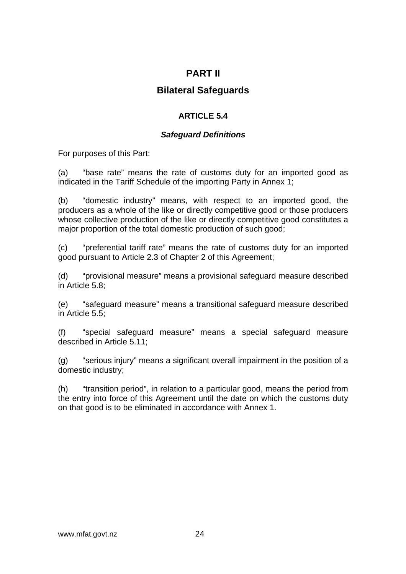# **PART II**

# **Bilateral Safeguards**

## **ARTICLE 5.4**

#### *Safeguard Definitions*

<span id="page-32-0"></span>For purposes of this Part:

(a) "base rate" means the rate of customs duty for an imported good as indicated in the Tariff Schedule of the importing Party in Annex 1;

(b) "domestic industry" means, with respect to an imported good, the producers as a whole of the like or directly competitive good or those producers whose collective production of the like or directly competitive good constitutes a major proportion of the total domestic production of such good:

(c) "preferential tariff rate" means the rate of customs duty for an imported good pursuant to Article 2.3 of Chapter 2 of this Agreement;

(d) "provisional measure" means a provisional safeguard measure described in Article 5.8;

(e) "safeguard measure" means a transitional safeguard measure described in Article 5.5;

(f) "special safeguard measure" means a special safeguard measure described in Article 5.11;

(g) "serious injury" means a significant overall impairment in the position of a domestic industry;

(h) "transition period", in relation to a particular good, means the period from the entry into force of this Agreement until the date on which the customs duty on that good is to be eliminated in accordance with Annex 1.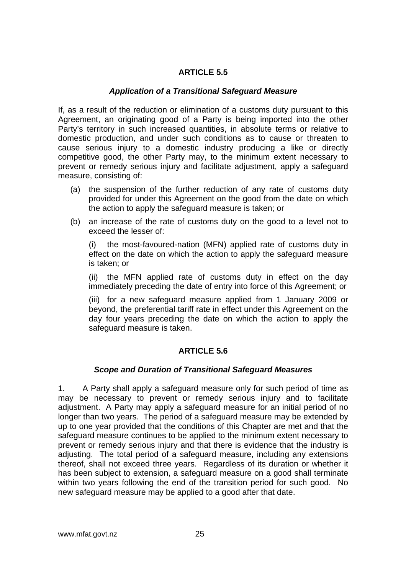## **ARTICLE 5.5**

#### *Application of a Transitional Safeguard Measure*

<span id="page-33-0"></span>If, as a result of the reduction or elimination of a customs duty pursuant to this Agreement, an originating good of a Party is being imported into the other Party's territory in such increased quantities, in absolute terms or relative to domestic production, and under such conditions as to cause or threaten to cause serious injury to a domestic industry producing a like or directly competitive good, the other Party may, to the minimum extent necessary to prevent or remedy serious injury and facilitate adjustment, apply a safeguard measure, consisting of:

- (a) the suspension of the further reduction of any rate of customs duty provided for under this Agreement on the good from the date on which the action to apply the safeguard measure is taken; or
- (b) an increase of the rate of customs duty on the good to a level not to exceed the lesser of:

(i) the most-favoured-nation (MFN) applied rate of customs duty in effect on the date on which the action to apply the safeguard measure is taken; or

(ii) the MFN applied rate of customs duty in effect on the day immediately preceding the date of entry into force of this Agreement; or

(iii) for a new safeguard measure applied from 1 January 2009 or beyond, the preferential tariff rate in effect under this Agreement on the day four years preceding the date on which the action to apply the safeguard measure is taken.

## **ARTICLE 5.6**

## *Scope and Duration of Transitional Safeguard Measures*

1. A Party shall apply a safeguard measure only for such period of time as may be necessary to prevent or remedy serious injury and to facilitate adjustment. A Party may apply a safeguard measure for an initial period of no longer than two years. The period of a safeguard measure may be extended by up to one year provided that the conditions of this Chapter are met and that the safeguard measure continues to be applied to the minimum extent necessary to prevent or remedy serious injury and that there is evidence that the industry is adjusting. The total period of a safeguard measure, including any extensions thereof, shall not exceed three years. Regardless of its duration or whether it has been subject to extension, a safeguard measure on a good shall terminate within two years following the end of the transition period for such good. No new safeguard measure may be applied to a good after that date.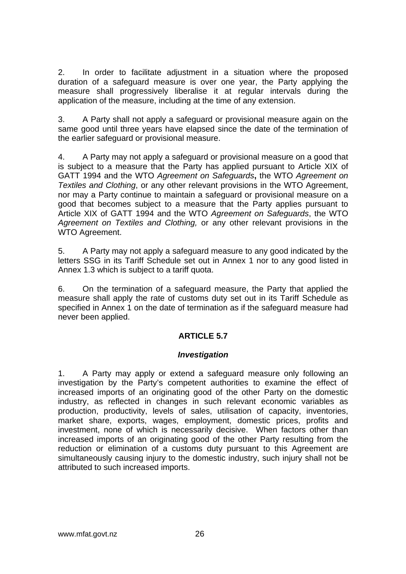<span id="page-34-0"></span>2. In order to facilitate adjustment in a situation where the proposed duration of a safeguard measure is over one year, the Party applying the measure shall progressively liberalise it at regular intervals during the application of the measure, including at the time of any extension.

3. A Party shall not apply a safeguard or provisional measure again on the same good until three years have elapsed since the date of the termination of the earlier safeguard or provisional measure.

4. A Party may not apply a safeguard or provisional measure on a good that is subject to a measure that the Party has applied pursuant to Article XIX of GATT 1994 and the WTO *Agreement on Safeguards***,** the WTO *Agreement on Textiles and Clothing*, or any other relevant provisions in the WTO Agreement, nor may a Party continue to maintain a safeguard or provisional measure on a good that becomes subject to a measure that the Party applies pursuant to Article XIX of GATT 1994 and the WTO *Agreement on Safeguards*, the WTO *Agreement on Textiles and Clothing,* or any other relevant provisions in the WTO Agreement.

5. A Party may not apply a safeguard measure to any good indicated by the letters SSG in its Tariff Schedule set out in Annex 1 nor to any good listed in Annex 1.3 which is subject to a tariff quota.

6. On the termination of a safeguard measure, the Party that applied the measure shall apply the rate of customs duty set out in its Tariff Schedule as specified in Annex 1 on the date of termination as if the safeguard measure had never been applied.

## **ARTICLE 5.7**

## *Investigation*

1. A Party may apply or extend a safeguard measure only following an investigation by the Party's competent authorities to examine the effect of increased imports of an originating good of the other Party on the domestic industry, as reflected in changes in such relevant economic variables as production, productivity, levels of sales, utilisation of capacity, inventories, market share, exports, wages, employment, domestic prices, profits and investment, none of which is necessarily decisive. When factors other than increased imports of an originating good of the other Party resulting from the reduction or elimination of a customs duty pursuant to this Agreement are simultaneously causing injury to the domestic industry, such injury shall not be attributed to such increased imports.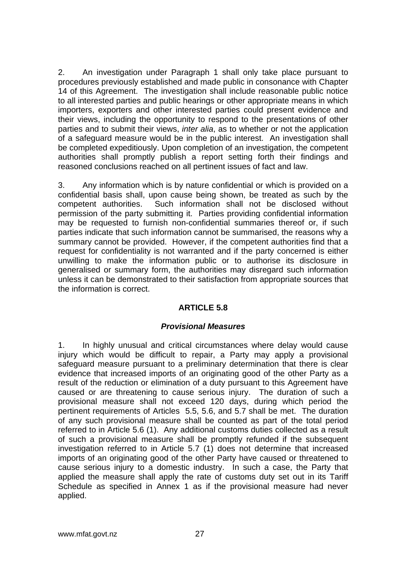<span id="page-35-0"></span>2. An investigation under Paragraph 1 shall only take place pursuant to procedures previously established and made public in consonance with Chapter 14 of this Agreement. The investigation shall include reasonable public notice to all interested parties and public hearings or other appropriate means in which importers, exporters and other interested parties could present evidence and their views, including the opportunity to respond to the presentations of other parties and to submit their views, *inter alia*, as to whether or not the application of a safeguard measure would be in the public interest. An investigation shall be completed expeditiously. Upon completion of an investigation, the competent authorities shall promptly publish a report setting forth their findings and reasoned conclusions reached on all pertinent issues of fact and law.

3. Any information which is by nature confidential or which is provided on a confidential basis shall, upon cause being shown, be treated as such by the competent authorities. Such information shall not be disclosed without permission of the party submitting it. Parties providing confidential information may be requested to furnish non-confidential summaries thereof or, if such parties indicate that such information cannot be summarised, the reasons why a summary cannot be provided. However, if the competent authorities find that a request for confidentiality is not warranted and if the party concerned is either unwilling to make the information public or to authorise its disclosure in generalised or summary form, the authorities may disregard such information unless it can be demonstrated to their satisfaction from appropriate sources that the information is correct.

## **ARTICLE 5.8**

#### *Provisional Measures*

1. In highly unusual and critical circumstances where delay would cause injury which would be difficult to repair, a Party may apply a provisional safeguard measure pursuant to a preliminary determination that there is clear evidence that increased imports of an originating good of the other Party as a result of the reduction or elimination of a duty pursuant to this Agreement have caused or are threatening to cause serious injury. The duration of such a provisional measure shall not exceed 120 days, during which period the pertinent requirements of Articles 5.5, 5.6, and 5.7 shall be met. The duration of any such provisional measure shall be counted as part of the total period referred to in Article 5.6 (1). Any additional customs duties collected as a result of such a provisional measure shall be promptly refunded if the subsequent investigation referred to in Article 5.7 (1) does not determine that increased imports of an originating good of the other Party have caused or threatened to cause serious injury to a domestic industry. In such a case, the Party that applied the measure shall apply the rate of customs duty set out in its Tariff Schedule as specified in Annex 1 as if the provisional measure had never applied.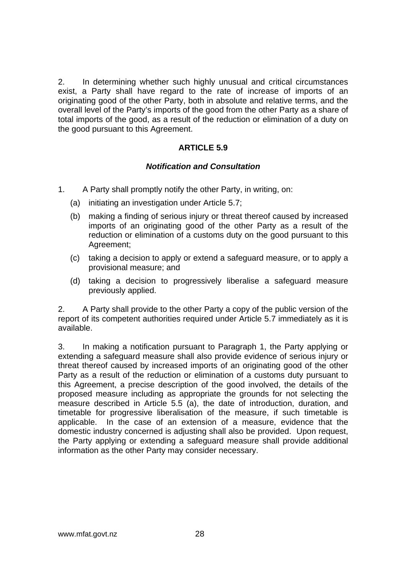2. In determining whether such highly unusual and critical circumstances exist, a Party shall have regard to the rate of increase of imports of an originating good of the other Party, both in absolute and relative terms, and the overall level of the Party's imports of the good from the other Party as a share of total imports of the good, as a result of the reduction or elimination of a duty on the good pursuant to this Agreement.

# **ARTICLE 5.9**

#### *Notification and Consultation*

- 1. A Party shall promptly notify the other Party, in writing, on:
	- (a) initiating an investigation under Article 5.7;
	- (b) making a finding of serious injury or threat thereof caused by increased imports of an originating good of the other Party as a result of the reduction or elimination of a customs duty on the good pursuant to this Agreement;
	- (c) taking a decision to apply or extend a safeguard measure, or to apply a provisional measure; and
	- (d) taking a decision to progressively liberalise a safeguard measure previously applied.

2. A Party shall provide to the other Party a copy of the public version of the report of its competent authorities required under Article 5.7 immediately as it is available.

3. In making a notification pursuant to Paragraph 1, the Party applying or extending a safeguard measure shall also provide evidence of serious injury or threat thereof caused by increased imports of an originating good of the other Party as a result of the reduction or elimination of a customs duty pursuant to this Agreement, a precise description of the good involved, the details of the proposed measure including as appropriate the grounds for not selecting the measure described in Article 5.5 (a), the date of introduction, duration, and timetable for progressive liberalisation of the measure, if such timetable is applicable. In the case of an extension of a measure, evidence that the domestic industry concerned is adjusting shall also be provided. Upon request, the Party applying or extending a safeguard measure shall provide additional information as the other Party may consider necessary.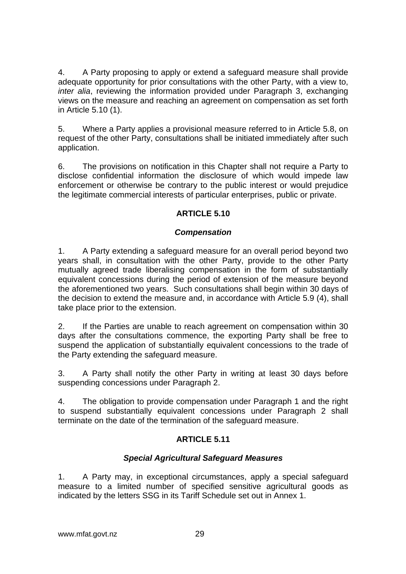4. A Party proposing to apply or extend a safeguard measure shall provide adequate opportunity for prior consultations with the other Party, with a view to, *inter alia*, reviewing the information provided under Paragraph 3, exchanging views on the measure and reaching an agreement on compensation as set forth in Article 5.10 (1).

5. Where a Party applies a provisional measure referred to in Article 5.8, on request of the other Party, consultations shall be initiated immediately after such application.

6. The provisions on notification in this Chapter shall not require a Party to disclose confidential information the disclosure of which would impede law enforcement or otherwise be contrary to the public interest or would prejudice the legitimate commercial interests of particular enterprises, public or private.

# **ARTICLE 5.10**

## *Compensation*

1. A Party extending a safeguard measure for an overall period beyond two years shall, in consultation with the other Party, provide to the other Party mutually agreed trade liberalising compensation in the form of substantially equivalent concessions during the period of extension of the measure beyond the aforementioned two years. Such consultations shall begin within 30 days of the decision to extend the measure and, in accordance with Article 5.9 (4), shall take place prior to the extension.

2. If the Parties are unable to reach agreement on compensation within 30 days after the consultations commence, the exporting Party shall be free to suspend the application of substantially equivalent concessions to the trade of the Party extending the safeguard measure.

3. A Party shall notify the other Party in writing at least 30 days before suspending concessions under Paragraph 2.

4. The obligation to provide compensation under Paragraph 1 and the right to suspend substantially equivalent concessions under Paragraph 2 shall terminate on the date of the termination of the safeguard measure.

## **ARTICLE 5.11**

## *Special Agricultural Safeguard Measures*

1. A Party may, in exceptional circumstances, apply a special safeguard measure to a limited number of specified sensitive agricultural goods as indicated by the letters SSG in its Tariff Schedule set out in Annex 1.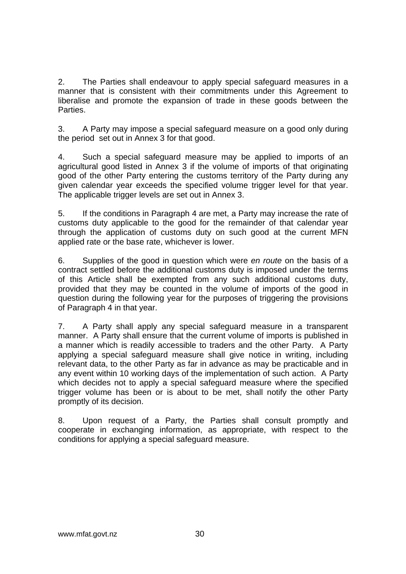2. The Parties shall endeavour to apply special safeguard measures in a manner that is consistent with their commitments under this Agreement to liberalise and promote the expansion of trade in these goods between the Parties.

3. A Party may impose a special safeguard measure on a good only during the period set out in Annex 3 for that good.

4. Such a special safeguard measure may be applied to imports of an agricultural good listed in Annex 3 if the volume of imports of that originating good of the other Party entering the customs territory of the Party during any given calendar year exceeds the specified volume trigger level for that year. The applicable trigger levels are set out in Annex 3.

5. If the conditions in Paragraph 4 are met, a Party may increase the rate of customs duty applicable to the good for the remainder of that calendar year through the application of customs duty on such good at the current MFN applied rate or the base rate, whichever is lower.

6. Supplies of the good in question which were *en route* on the basis of a contract settled before the additional customs duty is imposed under the terms of this Article shall be exempted from any such additional customs duty, provided that they may be counted in the volume of imports of the good in question during the following year for the purposes of triggering the provisions of Paragraph 4 in that year.

7. A Party shall apply any special safeguard measure in a transparent manner. A Party shall ensure that the current volume of imports is published in a manner which is readily accessible to traders and the other Party. A Party applying a special safeguard measure shall give notice in writing, including relevant data, to the other Party as far in advance as may be practicable and in any event within 10 working days of the implementation of such action. A Party which decides not to apply a special safeguard measure where the specified trigger volume has been or is about to be met, shall notify the other Party promptly of its decision.

8. Upon request of a Party, the Parties shall consult promptly and cooperate in exchanging information, as appropriate, with respect to the conditions for applying a special safeguard measure.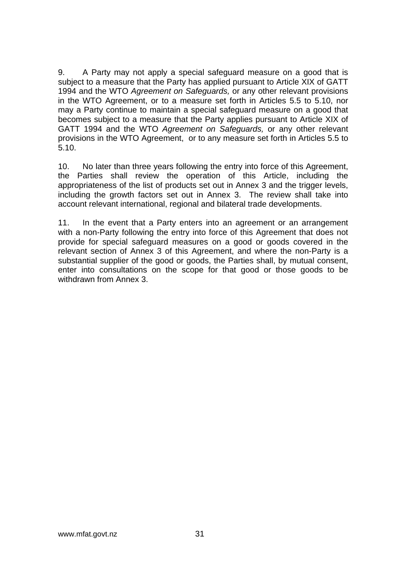9. A Party may not apply a special safeguard measure on a good that is subject to a measure that the Party has applied pursuant to Article XIX of GATT 1994 and the WTO *Agreement on Safeguards,* or any other relevant provisions in the WTO Agreement, or to a measure set forth in Articles 5.5 to 5.10, nor may a Party continue to maintain a special safeguard measure on a good that becomes subject to a measure that the Party applies pursuant to Article XIX of GATT 1994 and the WTO *Agreement on Safeguards,* or any other relevant provisions in the WTO Agreement, or to any measure set forth in Articles 5.5 to 5.10.

10. No later than three years following the entry into force of this Agreement, the Parties shall review the operation of this Article, including the appropriateness of the list of products set out in Annex 3 and the trigger levels, including the growth factors set out in Annex 3. The review shall take into account relevant international, regional and bilateral trade developments.

11. In the event that a Party enters into an agreement or an arrangement with a non-Party following the entry into force of this Agreement that does not provide for special safeguard measures on a good or goods covered in the relevant section of Annex 3 of this Agreement, and where the non-Party is a substantial supplier of the good or goods, the Parties shall, by mutual consent, enter into consultations on the scope for that good or those goods to be withdrawn from Annex 3.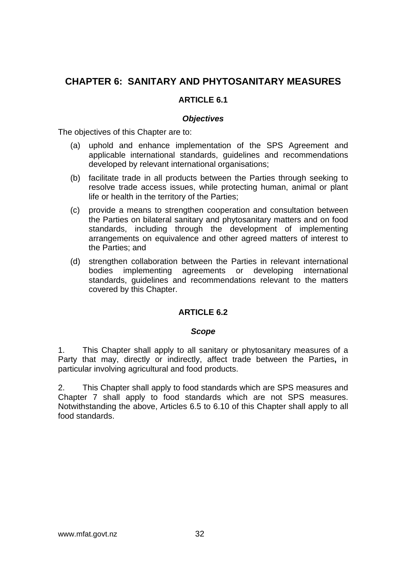# **CHAPTER 6: SANITARY AND PHYTOSANITARY MEASURES**

## **ARTICLE 6.1**

#### *Objectives*

The objectives of this Chapter are to:

- (a) uphold and enhance implementation of the SPS Agreement and applicable international standards, guidelines and recommendations developed by relevant international organisations;
- (b) facilitate trade in all products between the Parties through seeking to resolve trade access issues, while protecting human, animal or plant life or health in the territory of the Parties;
- (c) provide a means to strengthen cooperation and consultation between the Parties on bilateral sanitary and phytosanitary matters and on food standards, including through the development of implementing arrangements on equivalence and other agreed matters of interest to the Parties; and
- (d) strengthen collaboration between the Parties in relevant international bodies implementing agreements or developing international standards, guidelines and recommendations relevant to the matters covered by this Chapter.

## **ARTICLE 6.2**

## *Scope*

1. This Chapter shall apply to all sanitary or phytosanitary measures of a Party that may, directly or indirectly, affect trade between the Parties**,** in particular involving agricultural and food products.

2. This Chapter shall apply to food standards which are SPS measures and Chapter 7 shall apply to food standards which are not SPS measures. Notwithstanding the above, Articles 6.5 to 6.10 of this Chapter shall apply to all food standards.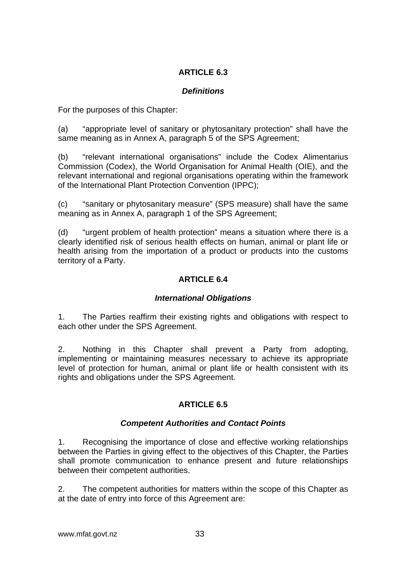# **ARTICLE 6.3**

# *Definitions*

For the purposes of this Chapter:

(a) "appropriate level of sanitary or phytosanitary protection" shall have the same meaning as in Annex A, paragraph 5 of the SPS Agreement;

(b) "relevant international organisations" include the Codex Alimentarius Commission (Codex), the World Organisation for Animal Health (OIE), and the relevant international and regional organisations operating within the framework of the International Plant Protection Convention (IPPC);

(c) "sanitary or phytosanitary measure" (SPS measure) shall have the same meaning as in Annex A, paragraph 1 of the SPS Agreement;

(d) "urgent problem of health protection" means a situation where there is a clearly identified risk of serious health effects on human, animal or plant life or health arising from the importation of a product or products into the customs territory of a Party.

# **ARTICLE 6.4**

# *International Obligations*

1. The Parties reaffirm their existing rights and obligations with respect to each other under the SPS Agreement.

2. Nothing in this Chapter shall prevent a Party from adopting, implementing or maintaining measures necessary to achieve its appropriate level of protection for human, animal or plant life or health consistent with its rights and obligations under the SPS Agreement.

# **ARTICLE 6.5**

## *Competent Authorities and Contact Points*

1. Recognising the importance of close and effective working relationships between the Parties in giving effect to the objectives of this Chapter, the Parties shall promote communication to enhance present and future relationships between their competent authorities.

2. The competent authorities for matters within the scope of this Chapter as at the date of entry into force of this Agreement are: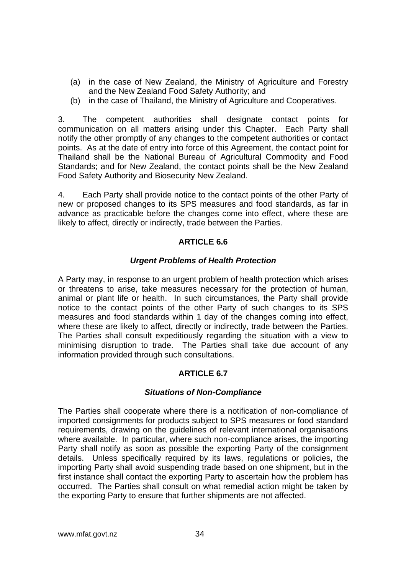- (a) in the case of New Zealand, the Ministry of Agriculture and Forestry and the New Zealand Food Safety Authority; and
- (b) in the case of Thailand, the Ministry of Agriculture and Cooperatives.

3. The competent authorities shall designate contact points for communication on all matters arising under this Chapter. Each Party shall notify the other promptly of any changes to the competent authorities or contact points. As at the date of entry into force of this Agreement, the contact point for Thailand shall be the National Bureau of Agricultural Commodity and Food Standards; and for New Zealand, the contact points shall be the New Zealand Food Safety Authority and Biosecurity New Zealand.

4. Each Party shall provide notice to the contact points of the other Party of new or proposed changes to its SPS measures and food standards, as far in advance as practicable before the changes come into effect, where these are likely to affect, directly or indirectly, trade between the Parties.

# **ARTICLE 6.6**

## *Urgent Problems of Health Protection*

A Party may, in response to an urgent problem of health protection which arises or threatens to arise, take measures necessary for the protection of human, animal or plant life or health. In such circumstances, the Party shall provide notice to the contact points of the other Party of such changes to its SPS measures and food standards within 1 day of the changes coming into effect, where these are likely to affect, directly or indirectly, trade between the Parties. The Parties shall consult expeditiously regarding the situation with a view to minimising disruption to trade. The Parties shall take due account of any information provided through such consultations.

# **ARTICLE 6.7**

# *Situations of Non-Compliance*

The Parties shall cooperate where there is a notification of non-compliance of imported consignments for products subject to SPS measures or food standard requirements, drawing on the guidelines of relevant international organisations where available. In particular, where such non-compliance arises, the importing Party shall notify as soon as possible the exporting Party of the consignment details. Unless specifically required by its laws, regulations or policies, the importing Party shall avoid suspending trade based on one shipment, but in the first instance shall contact the exporting Party to ascertain how the problem has occurred. The Parties shall consult on what remedial action might be taken by the exporting Party to ensure that further shipments are not affected.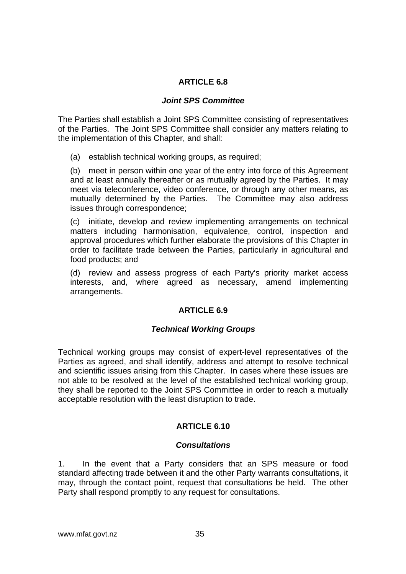# **ARTICLE 6.8**

## *Joint SPS Committee*

The Parties shall establish a Joint SPS Committee consisting of representatives of the Parties. The Joint SPS Committee shall consider any matters relating to the implementation of this Chapter, and shall:

(a) establish technical working groups, as required;

(b) meet in person within one year of the entry into force of this Agreement and at least annually thereafter or as mutually agreed by the Parties. It may meet via teleconference, video conference, or through any other means, as mutually determined by the Parties. The Committee may also address issues through correspondence;

(c) initiate, develop and review implementing arrangements on technical matters including harmonisation, equivalence, control, inspection and approval procedures which further elaborate the provisions of this Chapter in order to facilitate trade between the Parties, particularly in agricultural and food products; and

(d) review and assess progress of each Party's priority market access interests, and, where agreed as necessary, amend implementing arrangements.

# **ARTICLE 6.9**

## *Technical Working Groups*

Technical working groups may consist of expert-level representatives of the Parties as agreed, and shall identify, address and attempt to resolve technical and scientific issues arising from this Chapter. In cases where these issues are not able to be resolved at the level of the established technical working group, they shall be reported to the Joint SPS Committee in order to reach a mutually acceptable resolution with the least disruption to trade.

# **ARTICLE 6.10**

## *Consultations*

1. In the event that a Party considers that an SPS measure or food standard affecting trade between it and the other Party warrants consultations, it may, through the contact point, request that consultations be held. The other Party shall respond promptly to any request for consultations.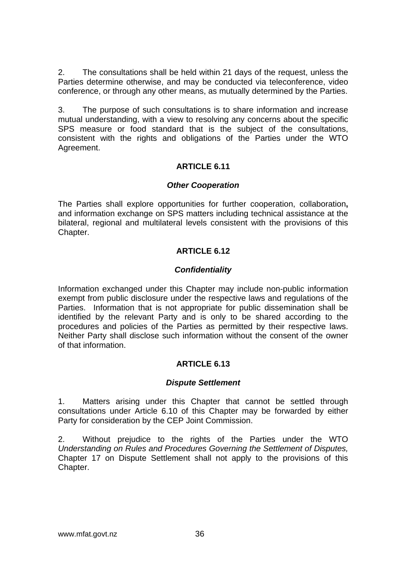2. The consultations shall be held within 21 days of the request, unless the Parties determine otherwise, and may be conducted via teleconference, video conference, or through any other means, as mutually determined by the Parties.

3. The purpose of such consultations is to share information and increase mutual understanding, with a view to resolving any concerns about the specific SPS measure or food standard that is the subject of the consultations, consistent with the rights and obligations of the Parties under the WTO Agreement.

## **ARTICLE 6.11**

## *Other Cooperation*

The Parties shall explore opportunities for further cooperation, collaboration**,**  and information exchange on SPS matters including technical assistance at the bilateral, regional and multilateral levels consistent with the provisions of this Chapter.

## **ARTICLE 6.12**

## *Confidentiality*

Information exchanged under this Chapter may include non-public information exempt from public disclosure under the respective laws and regulations of the Parties. Information that is not appropriate for public dissemination shall be identified by the relevant Party and is only to be shared according to the procedures and policies of the Parties as permitted by their respective laws. Neither Party shall disclose such information without the consent of the owner of that information.

## **ARTICLE 6.13**

## *Dispute Settlement*

1. Matters arising under this Chapter that cannot be settled through consultations under Article 6.10 of this Chapter may be forwarded by either Party for consideration by the CEP Joint Commission.

2. Without prejudice to the rights of the Parties under the WTO *Understanding on Rules and Procedures Governing the Settlement of Disputes,* Chapter 17 on Dispute Settlement shall not apply to the provisions of this Chapter.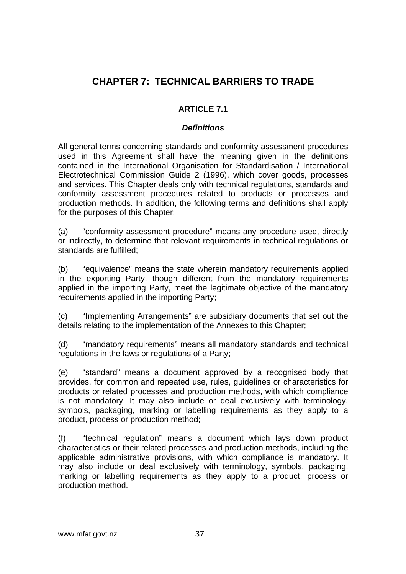# **CHAPTER 7: TECHNICAL BARRIERS TO TRADE**

# **ARTICLE 7.1**

## *Definitions*

All general terms concerning standards and conformity assessment procedures used in this Agreement shall have the meaning given in the definitions contained in the International Organisation for Standardisation / International Electrotechnical Commission Guide 2 (1996), which cover goods, processes and services. This Chapter deals only with technical regulations, standards and conformity assessment procedures related to products or processes and production methods. In addition, the following terms and definitions shall apply for the purposes of this Chapter:

(a) "conformity assessment procedure" means any procedure used, directly or indirectly, to determine that relevant requirements in technical regulations or standards are fulfilled;

(b) "equivalence" means the state wherein mandatory requirements applied in the exporting Party, though different from the mandatory requirements applied in the importing Party, meet the legitimate objective of the mandatory requirements applied in the importing Party;

(c) "Implementing Arrangements" are subsidiary documents that set out the details relating to the implementation of the Annexes to this Chapter;

(d) "mandatory requirements" means all mandatory standards and technical regulations in the laws or regulations of a Party;

(e) "standard" means a document approved by a recognised body that provides, for common and repeated use, rules, guidelines or characteristics for products or related processes and production methods, with which compliance is not mandatory. It may also include or deal exclusively with terminology, symbols, packaging, marking or labelling requirements as they apply to a product, process or production method;

(f) "technical regulation" means a document which lays down product characteristics or their related processes and production methods, including the applicable administrative provisions, with which compliance is mandatory. It may also include or deal exclusively with terminology, symbols, packaging, marking or labelling requirements as they apply to a product, process or production method.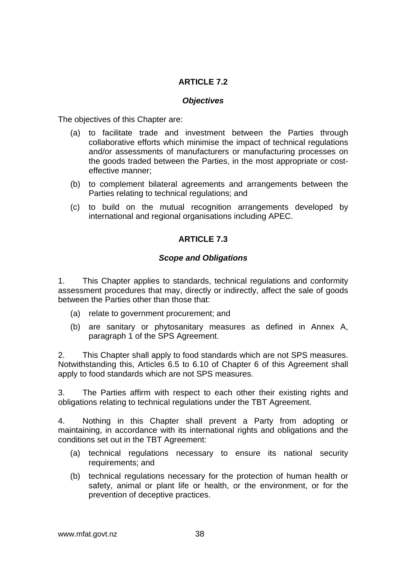# **ARTICLE 7.2**

#### *Objectives*

The objectives of this Chapter are:

- (a) to facilitate trade and investment between the Parties through collaborative efforts which minimise the impact of technical regulations and/or assessments of manufacturers or manufacturing processes on the goods traded between the Parties, in the most appropriate or costeffective manner;
- (b) to complement bilateral agreements and arrangements between the Parties relating to technical regulations; and
- (c) to build on the mutual recognition arrangements developed by international and regional organisations including APEC.

## **ARTICLE 7.3**

## *Scope and Obligations*

1. This Chapter applies to standards, technical regulations and conformity assessment procedures that may, directly or indirectly, affect the sale of goods between the Parties other than those that:

- (a) relate to government procurement; and
- (b) are sanitary or phytosanitary measures as defined in Annex A, paragraph 1 of the SPS Agreement.

2. This Chapter shall apply to food standards which are not SPS measures. Notwithstanding this, Articles 6.5 to 6.10 of Chapter 6 of this Agreement shall apply to food standards which are not SPS measures.

3. The Parties affirm with respect to each other their existing rights and obligations relating to technical regulations under the TBT Agreement.

4. Nothing in this Chapter shall prevent a Party from adopting or maintaining, in accordance with its international rights and obligations and the conditions set out in the TBT Agreement:

- (a) technical regulations necessary to ensure its national security requirements; and
- (b) technical regulations necessary for the protection of human health or safety, animal or plant life or health, or the environment, or for the prevention of deceptive practices.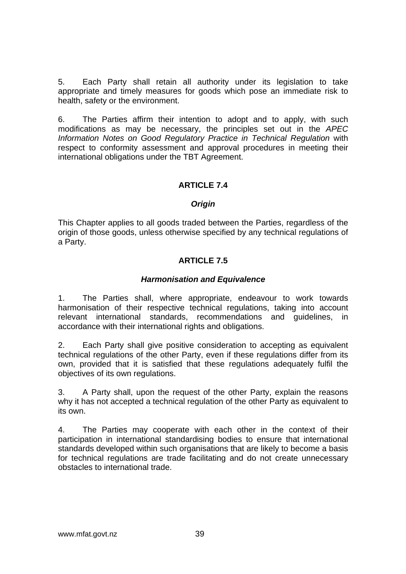5. Each Party shall retain all authority under its legislation to take appropriate and timely measures for goods which pose an immediate risk to health, safety or the environment.

6. The Parties affirm their intention to adopt and to apply, with such modifications as may be necessary, the principles set out in the *APEC Information Notes on Good Regulatory Practice in Technical Regulation* with respect to conformity assessment and approval procedures in meeting their international obligations under the TBT Agreement.

## **ARTICLE 7.4**

#### *Origin*

This Chapter applies to all goods traded between the Parties, regardless of the origin of those goods, unless otherwise specified by any technical regulations of a Party.

## **ARTICLE 7.5**

#### *Harmonisation and Equivalence*

1. The Parties shall, where appropriate, endeavour to work towards harmonisation of their respective technical regulations, taking into account relevant international standards, recommendations and guidelines, in accordance with their international rights and obligations.

2. Each Party shall give positive consideration to accepting as equivalent technical regulations of the other Party, even if these regulations differ from its own, provided that it is satisfied that these regulations adequately fulfil the objectives of its own regulations.

3. A Party shall, upon the request of the other Party, explain the reasons why it has not accepted a technical regulation of the other Party as equivalent to its own.

4. The Parties may cooperate with each other in the context of their participation in international standardising bodies to ensure that international standards developed within such organisations that are likely to become a basis for technical regulations are trade facilitating and do not create unnecessary obstacles to international trade.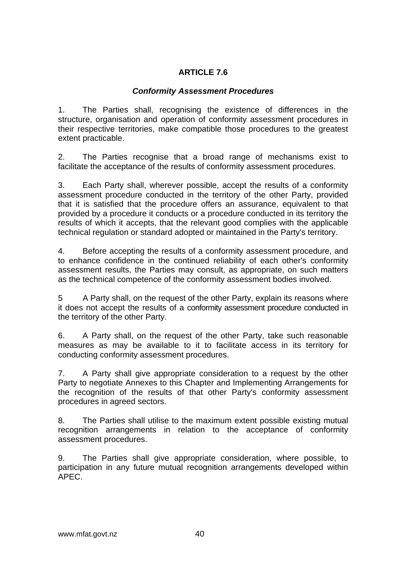# **ARTICLE 7.6**

## *Conformity Assessment Procedures*

1. The Parties shall, recognising the existence of differences in the structure, organisation and operation of conformity assessment procedures in their respective territories, make compatible those procedures to the greatest extent practicable.

2. The Parties recognise that a broad range of mechanisms exist to facilitate the acceptance of the results of conformity assessment procedures.

3. Each Party shall, wherever possible, accept the results of a conformity assessment procedure conducted in the territory of the other Party, provided that it is satisfied that the procedure offers an assurance, equivalent to that provided by a procedure it conducts or a procedure conducted in its territory the results of which it accepts, that the relevant good complies with the applicable technical regulation or standard adopted or maintained in the Party's territory.

4. Before accepting the results of a conformity assessment procedure, and to enhance confidence in the continued reliability of each other's conformity assessment results, the Parties may consult, as appropriate, on such matters as the technical competence of the conformity assessment bodies involved.

5 A Party shall, on the request of the other Party, explain its reasons where it does not accept the results of a conformity assessment procedure conducted in the territory of the other Party.

6. A Party shall, on the request of the other Party, take such reasonable measures as may be available to it to facilitate access in its territory for conducting conformity assessment procedures.

7. A Party shall give appropriate consideration to a request by the other Party to negotiate Annexes to this Chapter and Implementing Arrangements for the recognition of the results of that other Party's conformity assessment procedures in agreed sectors.

8. The Parties shall utilise to the maximum extent possible existing mutual recognition arrangements in relation to the acceptance of conformity assessment procedures.

9. The Parties shall give appropriate consideration, where possible, to participation in any future mutual recognition arrangements developed within APEC.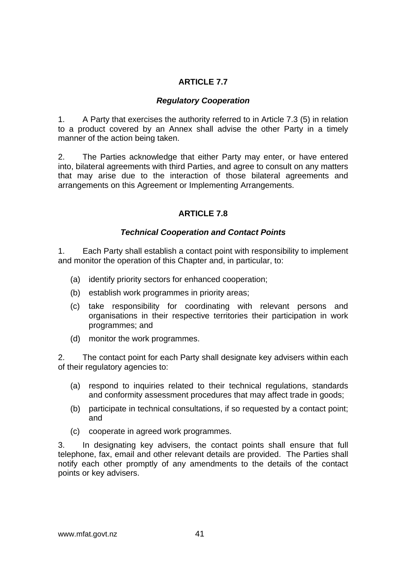# **ARTICLE 7.7**

## *Regulatory Cooperation*

1. A Party that exercises the authority referred to in Article 7.3 (5) in relation to a product covered by an Annex shall advise the other Party in a timely manner of the action being taken.

2. The Parties acknowledge that either Party may enter, or have entered into, bilateral agreements with third Parties, and agree to consult on any matters that may arise due to the interaction of those bilateral agreements and arrangements on this Agreement or Implementing Arrangements.

# **ARTICLE 7.8**

## *Technical Cooperation and Contact Points*

1. Each Party shall establish a contact point with responsibility to implement and monitor the operation of this Chapter and, in particular, to:

- (a) identify priority sectors for enhanced cooperation;
- (b) establish work programmes in priority areas;
- (c) take responsibility for coordinating with relevant persons and organisations in their respective territories their participation in work programmes; and
- (d) monitor the work programmes.

2. The contact point for each Party shall designate key advisers within each of their regulatory agencies to:

- (a) respond to inquiries related to their technical regulations, standards and conformity assessment procedures that may affect trade in goods;
- (b) participate in technical consultations, if so requested by a contact point; and
- (c) cooperate in agreed work programmes.

3. In designating key advisers, the contact points shall ensure that full telephone, fax, email and other relevant details are provided. The Parties shall notify each other promptly of any amendments to the details of the contact points or key advisers.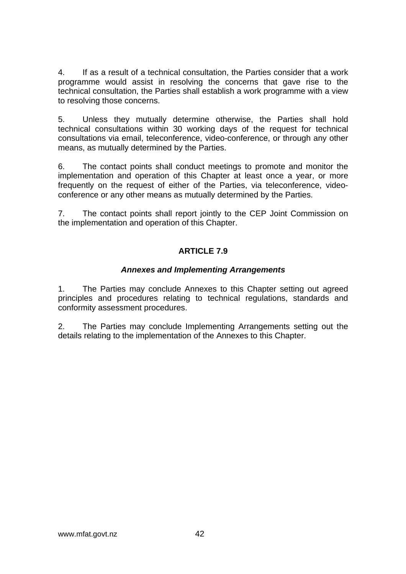4. If as a result of a technical consultation, the Parties consider that a work programme would assist in resolving the concerns that gave rise to the technical consultation, the Parties shall establish a work programme with a view to resolving those concerns.

5. Unless they mutually determine otherwise, the Parties shall hold technical consultations within 30 working days of the request for technical consultations via email, teleconference, video-conference, or through any other means, as mutually determined by the Parties.

6. The contact points shall conduct meetings to promote and monitor the implementation and operation of this Chapter at least once a year, or more frequently on the request of either of the Parties, via teleconference, videoconference or any other means as mutually determined by the Parties.

7. The contact points shall report jointly to the CEP Joint Commission on the implementation and operation of this Chapter.

# **ARTICLE 7.9**

## *Annexes and Implementing Arrangements*

1. The Parties may conclude Annexes to this Chapter setting out agreed principles and procedures relating to technical regulations, standards and conformity assessment procedures.

2. The Parties may conclude Implementing Arrangements setting out the details relating to the implementation of the Annexes to this Chapter.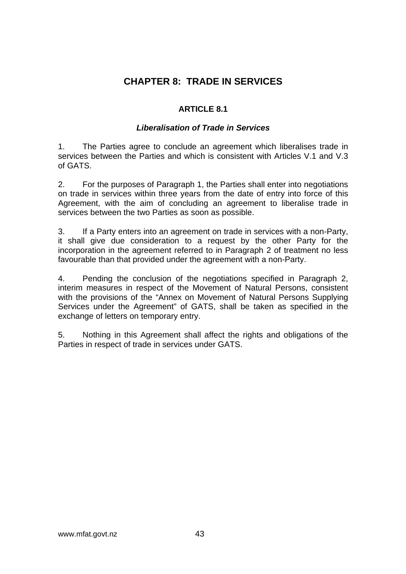# **CHAPTER 8: TRADE IN SERVICES**

# **ARTICLE 8.1**

## *Liberalisation of Trade in Services*

1. The Parties agree to conclude an agreement which liberalises trade in services between the Parties and which is consistent with Articles V.1 and V.3 of GATS.

2. For the purposes of Paragraph 1, the Parties shall enter into negotiations on trade in services within three years from the date of entry into force of this Agreement, with the aim of concluding an agreement to liberalise trade in services between the two Parties as soon as possible.

3. If a Party enters into an agreement on trade in services with a non-Party, it shall give due consideration to a request by the other Party for the incorporation in the agreement referred to in Paragraph 2 of treatment no less favourable than that provided under the agreement with a non-Party.

4. Pending the conclusion of the negotiations specified in Paragraph 2, interim measures in respect of the Movement of Natural Persons, consistent with the provisions of the "Annex on Movement of Natural Persons Supplying Services under the Agreement" of GATS, shall be taken as specified in the exchange of letters on temporary entry.

5. Nothing in this Agreement shall affect the rights and obligations of the Parties in respect of trade in services under GATS.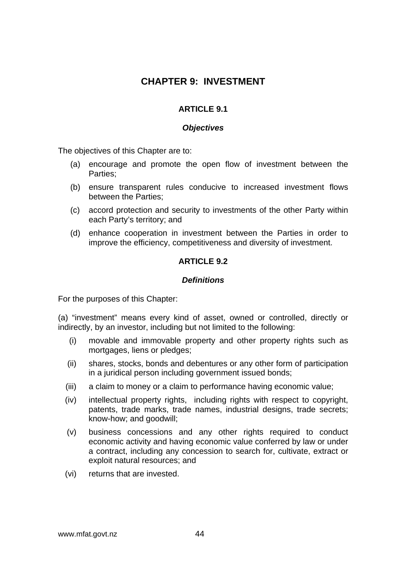# **CHAPTER 9: INVESTMENT**

## **ARTICLE 9.1**

## *Objectives*

The objectives of this Chapter are to:

- (a) encourage and promote the open flow of investment between the Parties;
- (b) ensure transparent rules conducive to increased investment flows between the Parties;
- (c) accord protection and security to investments of the other Party within each Party's territory; and
- (d) enhance cooperation in investment between the Parties in order to improve the efficiency, competitiveness and diversity of investment.

## **ARTICLE 9.2**

## *Definitions*

For the purposes of this Chapter:

(a) "investment" means every kind of asset, owned or controlled, directly or indirectly, by an investor, including but not limited to the following:

- (i) movable and immovable property and other property rights such as mortgages, liens or pledges;
- (ii) shares, stocks, bonds and debentures or any other form of participation in a juridical person including government issued bonds;
- (iii) a claim to money or a claim to performance having economic value;
- (iv) intellectual property rights, including rights with respect to copyright, patents, trade marks, trade names, industrial designs, trade secrets; know-how; and goodwill;
- (v) business concessions and any other rights required to conduct economic activity and having economic value conferred by law or under a contract, including any concession to search for, cultivate, extract or exploit natural resources; and
- (vi) returns that are invested.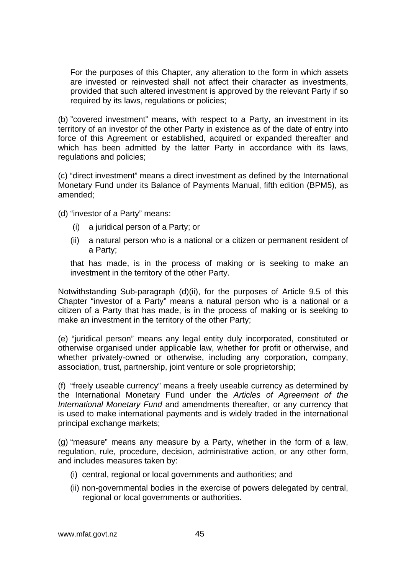For the purposes of this Chapter, any alteration to the form in which assets are invested or reinvested shall not affect their character as investments, provided that such altered investment is approved by the relevant Party if so required by its laws, regulations or policies;

(b) "covered investment" means, with respect to a Party, an investment in its territory of an investor of the other Party in existence as of the date of entry into force of this Agreement or established, acquired or expanded thereafter and which has been admitted by the latter Party in accordance with its laws, regulations and policies;

(c) "direct investment" means a direct investment as defined by the International Monetary Fund under its Balance of Payments Manual, fifth edition (BPM5), as amended;

- (d) "investor of a Party" means:
	- (i) a juridical person of a Party; or
	- (ii) a natural person who is a national or a citizen or permanent resident of a Party;

that has made, is in the process of making or is seeking to make an investment in the territory of the other Party.

Notwithstanding Sub-paragraph (d)(ii), for the purposes of Article 9.5 of this Chapter "investor of a Party" means a natural person who is a national or a citizen of a Party that has made, is in the process of making or is seeking to make an investment in the territory of the other Party;

(e) "juridical person" means any legal entity duly incorporated, constituted or otherwise organised under applicable law, whether for profit or otherwise, and whether privately-owned or otherwise, including any corporation, company, association, trust, partnership, joint venture or sole proprietorship;

(f) "freely useable currency" means a freely useable currency as determined by the International Monetary Fund under the *Articles of Agreement of the International Monetary Fund* and amendments thereafter, or any currency that is used to make international payments and is widely traded in the international principal exchange markets;

(g) "measure" means any measure by a Party, whether in the form of a law, regulation, rule, procedure, decision, administrative action, or any other form, and includes measures taken by:

- (i) central, regional or local governments and authorities; and
- (ii) non-governmental bodies in the exercise of powers delegated by central, regional or local governments or authorities.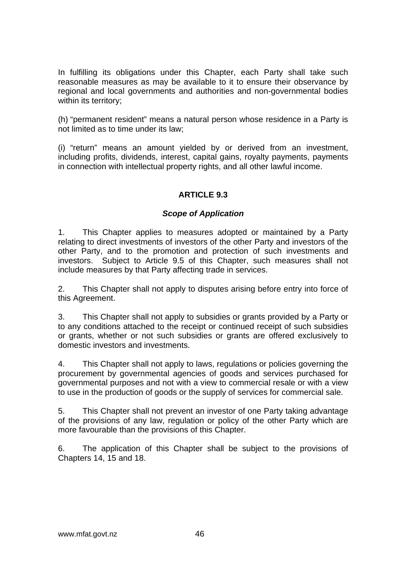In fulfilling its obligations under this Chapter, each Party shall take such reasonable measures as may be available to it to ensure their observance by regional and local governments and authorities and non-governmental bodies within its territory;

(h) "permanent resident" means a natural person whose residence in a Party is not limited as to time under its law;

(i) "return" means an amount yielded by or derived from an investment, including profits, dividends, interest, capital gains, royalty payments, payments in connection with intellectual property rights, and all other lawful income.

# **ARTICLE 9.3**

# *Scope of Application*

1. This Chapter applies to measures adopted or maintained by a Party relating to direct investments of investors of the other Party and investors of the other Party, and to the promotion and protection of such investments and investors. Subject to Article 9.5 of this Chapter, such measures shall not include measures by that Party affecting trade in services.

2. This Chapter shall not apply to disputes arising before entry into force of this Agreement.

3. This Chapter shall not apply to subsidies or grants provided by a Party or to any conditions attached to the receipt or continued receipt of such subsidies or grants, whether or not such subsidies or grants are offered exclusively to domestic investors and investments.

4. This Chapter shall not apply to laws, regulations or policies governing the procurement by governmental agencies of goods and services purchased for governmental purposes and not with a view to commercial resale or with a view to use in the production of goods or the supply of services for commercial sale.

5. This Chapter shall not prevent an investor of one Party taking advantage of the provisions of any law, regulation or policy of the other Party which are more favourable than the provisions of this Chapter.

6. The application of this Chapter shall be subject to the provisions of Chapters 14, 15 and 18.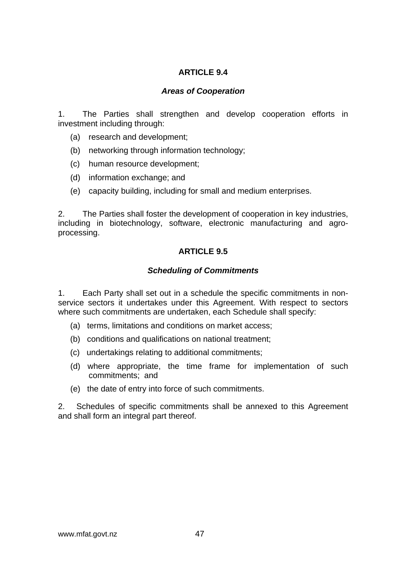## **ARTICLE 9.4**

## *Areas of Cooperation*

1. The Parties shall strengthen and develop cooperation efforts in investment including through:

- (a) research and development;
- (b) networking through information technology;
- (c) human resource development;
- (d) information exchange; and
- (e) capacity building, including for small and medium enterprises.

2. The Parties shall foster the development of cooperation in key industries, including in biotechnology, software, electronic manufacturing and agroprocessing.

# **ARTICLE 9.5**

## *Scheduling of Commitments*

1. Each Party shall set out in a schedule the specific commitments in nonservice sectors it undertakes under this Agreement. With respect to sectors where such commitments are undertaken, each Schedule shall specify:

- (a) terms, limitations and conditions on market access;
- (b) conditions and qualifications on national treatment;
- (c) undertakings relating to additional commitments;
- (d) where appropriate, the time frame for implementation of such commitments; and
- (e) the date of entry into force of such commitments.

2. Schedules of specific commitments shall be annexed to this Agreement and shall form an integral part thereof.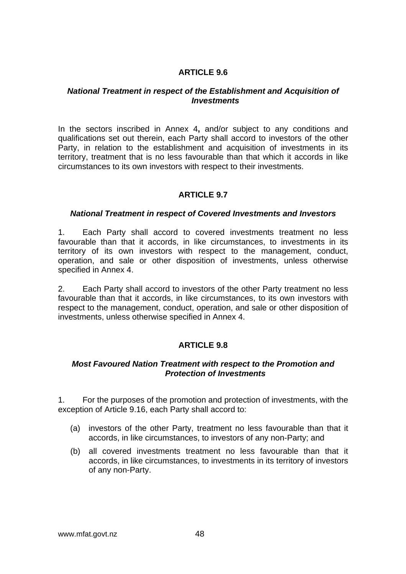## **ARTICLE 9.6**

## *National Treatment in respect of the Establishment and Acquisition of Investments*

In the sectors inscribed in Annex 4**,** and/or subject to any conditions and qualifications set out therein, each Party shall accord to investors of the other Party, in relation to the establishment and acquisition of investments in its territory, treatment that is no less favourable than that which it accords in like circumstances to its own investors with respect to their investments.

# **ARTICLE 9.7**

## *National Treatment in respect of Covered Investments and Investors*

1. Each Party shall accord to covered investments treatment no less favourable than that it accords, in like circumstances, to investments in its territory of its own investors with respect to the management, conduct, operation, and sale or other disposition of investments, unless otherwise specified in Annex 4.

2. Each Party shall accord to investors of the other Party treatment no less favourable than that it accords, in like circumstances, to its own investors with respect to the management, conduct, operation, and sale or other disposition of investments, unless otherwise specified in Annex 4.

# **ARTICLE 9.8**

## *Most Favoured Nation Treatment with respect to the Promotion and Protection of Investments*

1. For the purposes of the promotion and protection of investments, with the exception of Article 9.16, each Party shall accord to:

- (a) investors of the other Party, treatment no less favourable than that it accords, in like circumstances, to investors of any non-Party; and
- (b) all covered investments treatment no less favourable than that it accords, in like circumstances, to investments in its territory of investors of any non-Party.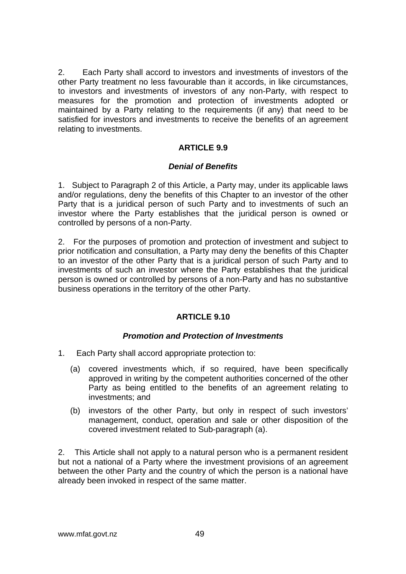2. Each Party shall accord to investors and investments of investors of the other Party treatment no less favourable than it accords, in like circumstances, to investors and investments of investors of any non-Party, with respect to measures for the promotion and protection of investments adopted or maintained by a Party relating to the requirements (if any) that need to be satisfied for investors and investments to receive the benefits of an agreement relating to investments.

# **ARTICLE 9.9**

## *Denial of Benefits*

1. Subject to Paragraph 2 of this Article, a Party may, under its applicable laws and/or regulations, deny the benefits of this Chapter to an investor of the other Party that is a juridical person of such Party and to investments of such an investor where the Party establishes that the juridical person is owned or controlled by persons of a non-Party.

2. For the purposes of promotion and protection of investment and subject to prior notification and consultation, a Party may deny the benefits of this Chapter to an investor of the other Party that is a juridical person of such Party and to investments of such an investor where the Party establishes that the juridical person is owned or controlled by persons of a non-Party and has no substantive business operations in the territory of the other Party.

# **ARTICLE 9.10**

## *Promotion and Protection of Investments*

- 1. Each Party shall accord appropriate protection to:
	- (a) covered investments which, if so required, have been specifically approved in writing by the competent authorities concerned of the other Party as being entitled to the benefits of an agreement relating to investments; and
	- (b) investors of the other Party, but only in respect of such investors' management, conduct, operation and sale or other disposition of the covered investment related to Sub-paragraph (a).

2. This Article shall not apply to a natural person who is a permanent resident but not a national of a Party where the investment provisions of an agreement between the other Party and the country of which the person is a national have already been invoked in respect of the same matter.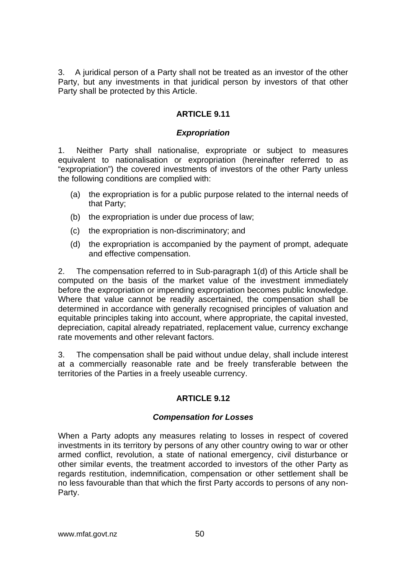3. A juridical person of a Party shall not be treated as an investor of the other Party, but any investments in that juridical person by investors of that other Party shall be protected by this Article.

# **ARTICLE 9.11**

## *Expropriation*

1. Neither Party shall nationalise, expropriate or subject to measures equivalent to nationalisation or expropriation (hereinafter referred to as "expropriation") the covered investments of investors of the other Party unless the following conditions are complied with:

- (a) the expropriation is for a public purpose related to the internal needs of that Party;
- (b) the expropriation is under due process of law;
- (c) the expropriation is non-discriminatory; and
- (d) the expropriation is accompanied by the payment of prompt, adequate and effective compensation.

2. The compensation referred to in Sub-paragraph 1(d) of this Article shall be computed on the basis of the market value of the investment immediately before the expropriation or impending expropriation becomes public knowledge. Where that value cannot be readily ascertained, the compensation shall be determined in accordance with generally recognised principles of valuation and equitable principles taking into account, where appropriate, the capital invested, depreciation, capital already repatriated, replacement value, currency exchange rate movements and other relevant factors.

3. The compensation shall be paid without undue delay, shall include interest at a commercially reasonable rate and be freely transferable between the territories of the Parties in a freely useable currency.

# **ARTICLE 9.12**

## *Compensation for Losses*

When a Party adopts any measures relating to losses in respect of covered investments in its territory by persons of any other country owing to war or other armed conflict, revolution, a state of national emergency, civil disturbance or other similar events, the treatment accorded to investors of the other Party as regards restitution, indemnification, compensation or other settlement shall be no less favourable than that which the first Party accords to persons of any non-Party.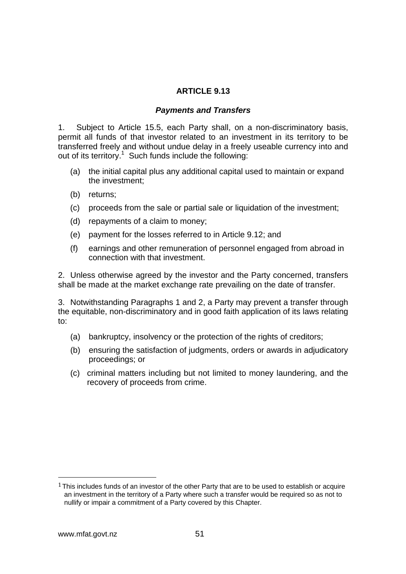# **ARTICLE 9.13**

## *Payments and Transfers*

1. Subject to Article 15.5, each Party shall, on a non-discriminatory basis, permit all funds of that investor related to an investment in its territory to be transferred freely and without undue delay in a freely useable currency into and out of its territory.<sup>[1](#page-59-0)</sup> Such funds include the following:

- (a) the initial capital plus any additional capital used to maintain or expand the investment;
- (b) returns;
- (c) proceeds from the sale or partial sale or liquidation of the investment;
- (d) repayments of a claim to money;
- (e) payment for the losses referred to in Article 9.12; and
- (f) earnings and other remuneration of personnel engaged from abroad in connection with that investment.

2. Unless otherwise agreed by the investor and the Party concerned, transfers shall be made at the market exchange rate prevailing on the date of transfer.

3. Notwithstanding Paragraphs 1 and 2, a Party may prevent a transfer through the equitable, non-discriminatory and in good faith application of its laws relating to:

- (a) bankruptcy, insolvency or the protection of the rights of creditors;
- (b) ensuring the satisfaction of judgments, orders or awards in adjudicatory proceedings; or
- (c) criminal matters including but not limited to money laundering, and the recovery of proceeds from crime.

l

<span id="page-59-0"></span> $<sup>1</sup>$  This includes funds of an investor of the other Party that are to be used to establish or acquire</sup> an investment in the territory of a Party where such a transfer would be required so as not to nullify or impair a commitment of a Party covered by this Chapter.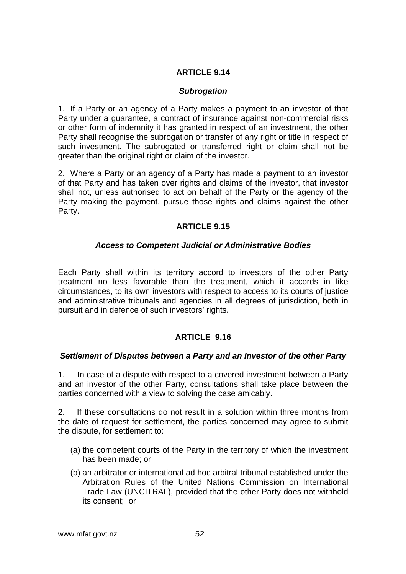## **ARTICLE 9.14**

## *Subrogation*

1. If a Party or an agency of a Party makes a payment to an investor of that Party under a guarantee, a contract of insurance against non-commercial risks or other form of indemnity it has granted in respect of an investment, the other Party shall recognise the subrogation or transfer of any right or title in respect of such investment. The subrogated or transferred right or claim shall not be greater than the original right or claim of the investor.

2. Where a Party or an agency of a Party has made a payment to an investor of that Party and has taken over rights and claims of the investor, that investor shall not, unless authorised to act on behalf of the Party or the agency of the Party making the payment, pursue those rights and claims against the other Party.

## **ARTICLE 9.15**

#### *Access to Competent Judicial or Administrative Bodies*

Each Party shall within its territory accord to investors of the other Party treatment no less favorable than the treatment, which it accords in like circumstances, to its own investors with respect to access to its courts of justice and administrative tribunals and agencies in all degrees of jurisdiction, both in pursuit and in defence of such investors' rights.

## **ARTICLE 9.16**

## *Settlement of Disputes between a Party and an Investor of the other Party*

1. In case of a dispute with respect to a covered investment between a Party and an investor of the other Party, consultations shall take place between the parties concerned with a view to solving the case amicably.

2. If these consultations do not result in a solution within three months from the date of request for settlement, the parties concerned may agree to submit the dispute, for settlement to:

- (a) the competent courts of the Party in the territory of which the investment has been made; or
- (b) an arbitrator or international ad hoc arbitral tribunal established under the Arbitration Rules of the United Nations Commission on International Trade Law (UNCITRAL), provided that the other Party does not withhold its consent; or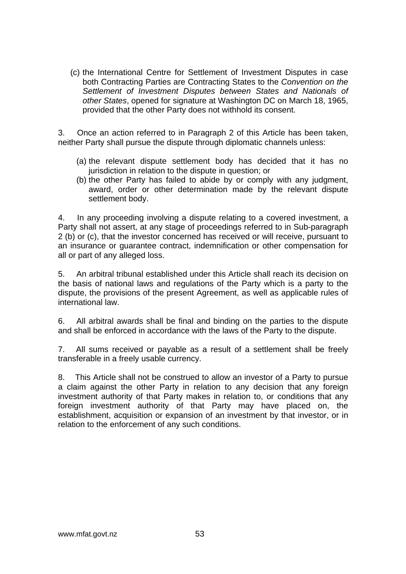(c) the International Centre for Settlement of Investment Disputes in case both Contracting Parties are Contracting States to the *Convention on the Settlement of Investment Disputes between States and Nationals of other States*, opened for signature at Washington DC on March 18, 1965, provided that the other Party does not withhold its consent.

3. Once an action referred to in Paragraph 2 of this Article has been taken, neither Party shall pursue the dispute through diplomatic channels unless:

- (a) the relevant dispute settlement body has decided that it has no jurisdiction in relation to the dispute in question; or
- (b) the other Party has failed to abide by or comply with any judgment, award, order or other determination made by the relevant dispute settlement body.

4. In any proceeding involving a dispute relating to a covered investment, a Party shall not assert, at any stage of proceedings referred to in Sub-paragraph 2 (b) or (c), that the investor concerned has received or will receive, pursuant to an insurance or guarantee contract, indemnification or other compensation for all or part of any alleged loss.

5. An arbitral tribunal established under this Article shall reach its decision on the basis of national laws and regulations of the Party which is a party to the dispute, the provisions of the present Agreement, as well as applicable rules of international law.

6. All arbitral awards shall be final and binding on the parties to the dispute and shall be enforced in accordance with the laws of the Party to the dispute.

7. All sums received or payable as a result of a settlement shall be freely transferable in a freely usable currency.

8. This Article shall not be construed to allow an investor of a Party to pursue a claim against the other Party in relation to any decision that any foreign investment authority of that Party makes in relation to, or conditions that any foreign investment authority of that Party may have placed on, the establishment, acquisition or expansion of an investment by that investor, or in relation to the enforcement of any such conditions.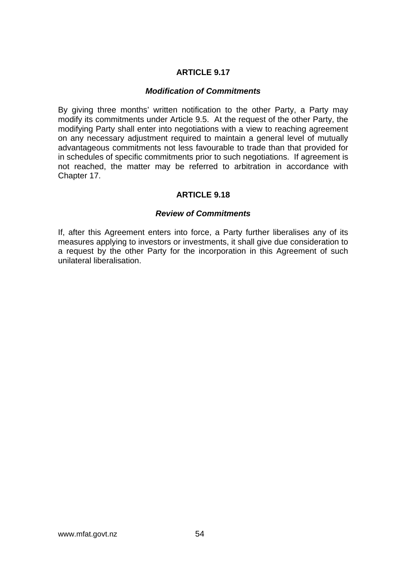## **ARTICLE 9.17**

#### *Modification of Commitments*

By giving three months' written notification to the other Party, a Party may modify its commitments under Article 9.5. At the request of the other Party, the modifying Party shall enter into negotiations with a view to reaching agreement on any necessary adjustment required to maintain a general level of mutually advantageous commitments not less favourable to trade than that provided for in schedules of specific commitments prior to such negotiations. If agreement is not reached, the matter may be referred to arbitration in accordance with Chapter 17.

## **ARTICLE 9.18**

#### *Review of Commitments*

If, after this Agreement enters into force, a Party further liberalises any of its measures applying to investors or investments, it shall give due consideration to a request by the other Party for the incorporation in this Agreement of such unilateral liberalisation.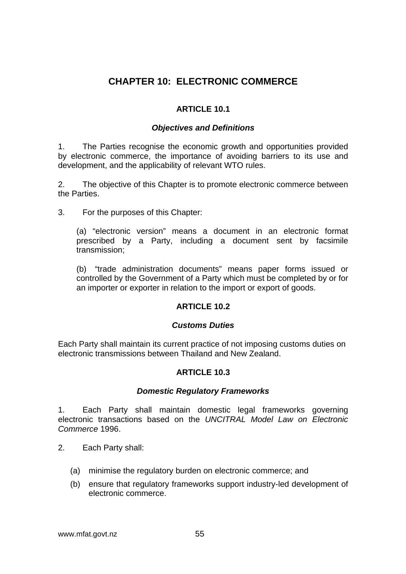# **CHAPTER 10: ELECTRONIC COMMERCE**

# **ARTICLE 10.1**

## *Objectives and Definitions*

1. The Parties recognise the economic growth and opportunities provided by electronic commerce, the importance of avoiding barriers to its use and development, and the applicability of relevant WTO rules.

2. The objective of this Chapter is to promote electronic commerce between the Parties.

3. For the purposes of this Chapter:

(a) "electronic version" means a document in an electronic format prescribed by a Party, including a document sent by facsimile transmission;

(b) "trade administration documents" means paper forms issued or controlled by the Government of a Party which must be completed by or for an importer or exporter in relation to the import or export of goods.

# **ARTICLE 10.2**

## *Customs Duties*

Each Party shall maintain its current practice of not imposing customs duties on electronic transmissions between Thailand and New Zealand.

## **ARTICLE 10.3**

## *Domestic Regulatory Frameworks*

1. Each Party shall maintain domestic legal frameworks governing electronic transactions based on the *UNCITRAL Model Law on Electronic Commerce* 1996.

2. Each Party shall:

- (a) minimise the regulatory burden on electronic commerce; and
- (b) ensure that regulatory frameworks support industry-led development of electronic commerce.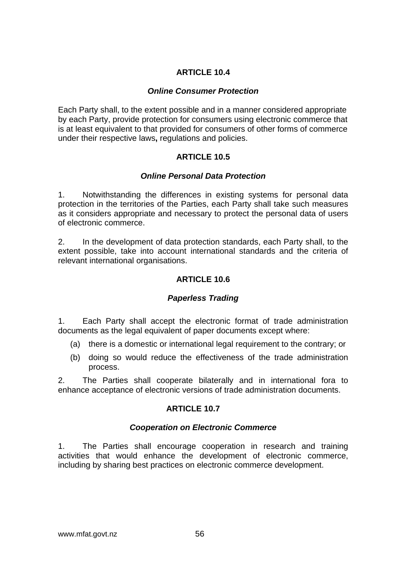# **ARTICLE 10.4**

## *Online Consumer Protection*

Each Party shall, to the extent possible and in a manner considered appropriate by each Party, provide protection for consumers using electronic commerce that is at least equivalent to that provided for consumers of other forms of commerce under their respective laws**,** regulations and policies.

## **ARTICLE 10.5**

## *Online Personal Data Protection*

1. Notwithstanding the differences in existing systems for personal data protection in the territories of the Parties, each Party shall take such measures as it considers appropriate and necessary to protect the personal data of users of electronic commerce.

2. In the development of data protection standards, each Party shall, to the extent possible, take into account international standards and the criteria of relevant international organisations.

## **ARTICLE 10.6**

## *Paperless Trading*

1. Each Party shall accept the electronic format of trade administration documents as the legal equivalent of paper documents except where:

- (a) there is a domestic or international legal requirement to the contrary; or
- (b) doing so would reduce the effectiveness of the trade administration process.

2. The Parties shall cooperate bilaterally and in international fora to enhance acceptance of electronic versions of trade administration documents.

## **ARTICLE 10.7**

#### *Cooperation on Electronic Commerce*

1. The Parties shall encourage cooperation in research and training activities that would enhance the development of electronic commerce, including by sharing best practices on electronic commerce development.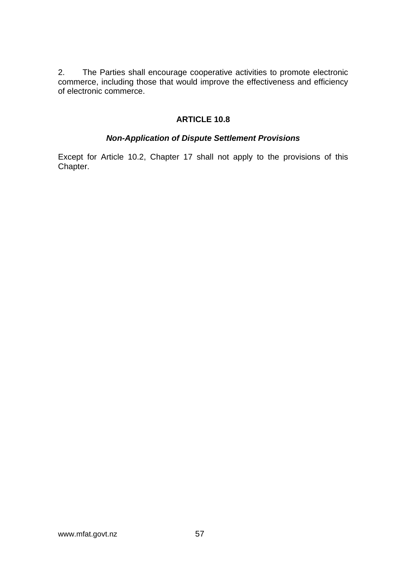2. The Parties shall encourage cooperative activities to promote electronic commerce, including those that would improve the effectiveness and efficiency of electronic commerce.

# **ARTICLE 10.8**

## *Non-Application of Dispute Settlement Provisions*

Except for Article 10.2, Chapter 17 shall not apply to the provisions of this Chapter.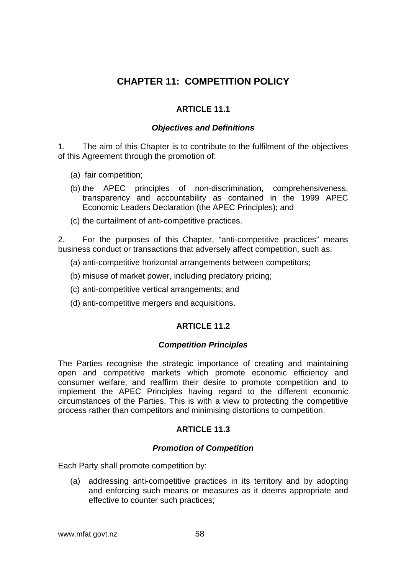# **CHAPTER 11: COMPETITION POLICY**

# **ARTICLE 11.1**

## *Objectives and Definitions*

1. The aim of this Chapter is to contribute to the fulfilment of the objectives of this Agreement through the promotion of:

- (a) fair competition;
- (b) the APEC principles of non-discrimination, comprehensiveness, transparency and accountability as contained in the 1999 APEC Economic Leaders Declaration (the APEC Principles); and
- (c) the curtailment of anti-competitive practices.

2. For the purposes of this Chapter, "anti-competitive practices" means business conduct or transactions that adversely affect competition, such as:

- (a) anti-competitive horizontal arrangements between competitors;
- (b) misuse of market power, including predatory pricing;
- (c) anti-competitive vertical arrangements; and
- (d) anti-competitive mergers and acquisitions.

## **ARTICLE 11.2**

## *Competition Principles*

The Parties recognise the strategic importance of creating and maintaining open and competitive markets which promote economic efficiency and consumer welfare, and reaffirm their desire to promote competition and to implement the APEC Principles having regard to the different economic circumstances of the Parties. This is with a view to protecting the competitive process rather than competitors and minimising distortions to competition.

## **ARTICLE 11.3**

## *Promotion of Competition*

Each Party shall promote competition by:

(a) addressing anti-competitive practices in its territory and by adopting and enforcing such means or measures as it deems appropriate and effective to counter such practices;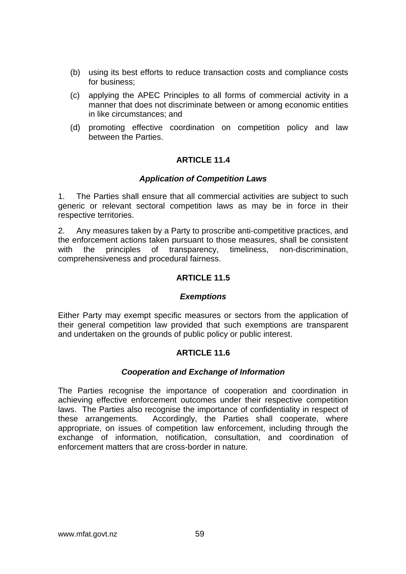- (b) using its best efforts to reduce transaction costs and compliance costs for business;
- (c) applying the APEC Principles to all forms of commercial activity in a manner that does not discriminate between or among economic entities in like circumstances; and
- (d) promoting effective coordination on competition policy and law between the Parties.

# **ARTICLE 11.4**

## *Application of Competition Laws*

1. The Parties shall ensure that all commercial activities are subject to such generic or relevant sectoral competition laws as may be in force in their respective territories.

2. Any measures taken by a Party to proscribe anti-competitive practices, and the enforcement actions taken pursuant to those measures, shall be consistent with the principles of transparency, timeliness, non-discrimination, comprehensiveness and procedural fairness.

## **ARTICLE 11.5**

## *Exemptions*

Either Party may exempt specific measures or sectors from the application of their general competition law provided that such exemptions are transparent and undertaken on the grounds of public policy or public interest.

## **ARTICLE 11.6**

## *Cooperation and Exchange of Information*

The Parties recognise the importance of cooperation and coordination in achieving effective enforcement outcomes under their respective competition laws. The Parties also recognise the importance of confidentiality in respect of these arrangements. Accordingly, the Parties shall cooperate, where appropriate, on issues of competition law enforcement, including through the exchange of information, notification, consultation, and coordination of enforcement matters that are cross-border in nature.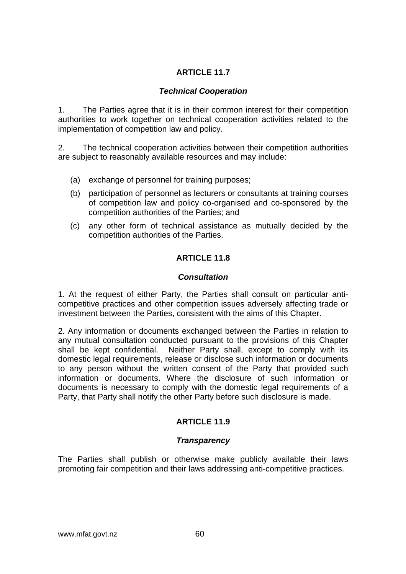# **ARTICLE 11.7**

# *Technical Cooperation*

1. The Parties agree that it is in their common interest for their competition authorities to work together on technical cooperation activities related to the implementation of competition law and policy.

2. The technical cooperation activities between their competition authorities are subject to reasonably available resources and may include:

- (a) exchange of personnel for training purposes;
- (b) participation of personnel as lecturers or consultants at training courses of competition law and policy co-organised and co-sponsored by the competition authorities of the Parties; and
- (c) any other form of technical assistance as mutually decided by the competition authorities of the Parties.

# **ARTICLE 11.8**

## *Consultation*

1. At the request of either Party, the Parties shall consult on particular anticompetitive practices and other competition issues adversely affecting trade or investment between the Parties, consistent with the aims of this Chapter.

2. Any information or documents exchanged between the Parties in relation to any mutual consultation conducted pursuant to the provisions of this Chapter shall be kept confidential. Neither Party shall, except to comply with its domestic legal requirements, release or disclose such information or documents to any person without the written consent of the Party that provided such information or documents. Where the disclosure of such information or documents is necessary to comply with the domestic legal requirements of a Party, that Party shall notify the other Party before such disclosure is made.

# **ARTICLE 11.9**

## *Transparency*

The Parties shall publish or otherwise make publicly available their laws promoting fair competition and their laws addressing anti-competitive practices.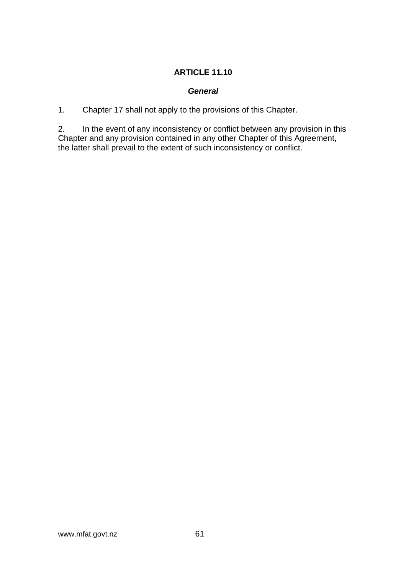# **ARTICLE 11.10**

## *General*

1. Chapter 17 shall not apply to the provisions of this Chapter.

2. In the event of any inconsistency or conflict between any provision in this Chapter and any provision contained in any other Chapter of this Agreement, the latter shall prevail to the extent of such inconsistency or conflict.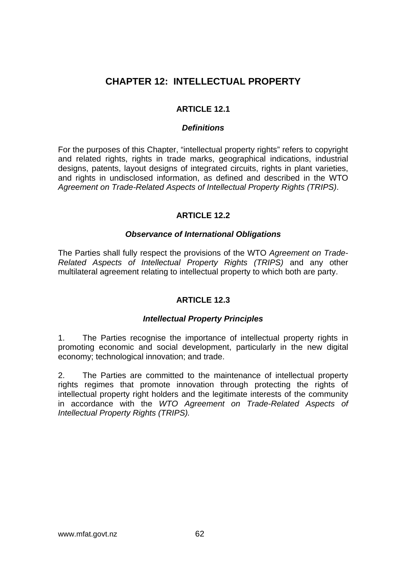# **CHAPTER 12: INTELLECTUAL PROPERTY**

# **ARTICLE 12.1**

## *Definitions*

For the purposes of this Chapter, "intellectual property rights" refers to copyright and related rights, rights in trade marks, geographical indications, industrial designs, patents, layout designs of integrated circuits, rights in plant varieties, and rights in undisclosed information, as defined and described in the WTO *Agreement on Trade-Related Aspects of Intellectual Property Rights (TRIPS)*.

## **ARTICLE 12.2**

## *Observance of International Obligations*

The Parties shall fully respect the provisions of the WTO *Agreement on Trade-Related Aspects of Intellectual Property Rights (TRIPS)* and any other multilateral agreement relating to intellectual property to which both are party.

# **ARTICLE 12.3**

## *Intellectual Property Principles*

1. The Parties recognise the importance of intellectual property rights in promoting economic and social development, particularly in the new digital economy; technological innovation; and trade.

2. The Parties are committed to the maintenance of intellectual property rights regimes that promote innovation through protecting the rights of intellectual property right holders and the legitimate interests of the community in accordance with the *WTO Agreement on Trade-Related Aspects of Intellectual Property Rights (TRIPS).*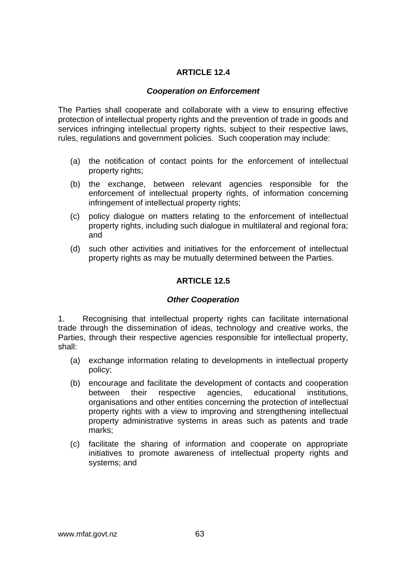## **ARTICLE 12.4**

## *Cooperation on Enforcement*

The Parties shall cooperate and collaborate with a view to ensuring effective protection of intellectual property rights and the prevention of trade in goods and services infringing intellectual property rights, subject to their respective laws, rules, regulations and government policies. Such cooperation may include:

- (a) the notification of contact points for the enforcement of intellectual property rights;
- (b) the exchange, between relevant agencies responsible for the enforcement of intellectual property rights, of information concerning infringement of intellectual property rights;
- (c) policy dialogue on matters relating to the enforcement of intellectual property rights, including such dialogue in multilateral and regional fora; and
- (d) such other activities and initiatives for the enforcement of intellectual property rights as may be mutually determined between the Parties.

## **ARTICLE 12.5**

#### *Other Cooperation*

1. Recognising that intellectual property rights can facilitate international trade through the dissemination of ideas, technology and creative works, the Parties, through their respective agencies responsible for intellectual property, shall:

- (a) exchange information relating to developments in intellectual property policy;
- (b) encourage and facilitate the development of contacts and cooperation between their respective agencies, educational institutions, organisations and other entities concerning the protection of intellectual property rights with a view to improving and strengthening intellectual property administrative systems in areas such as patents and trade marks;
- (c) facilitate the sharing of information and cooperate on appropriate initiatives to promote awareness of intellectual property rights and systems; and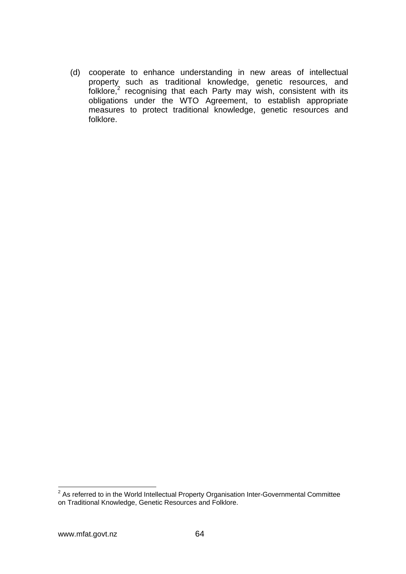(d) cooperate to enhance understanding in new areas of intellectual property such as traditional knowledge, genetic resources, and folklore, $2$ recognising that each Party may wish, consistent with its obligations under the WTO Agreement, to establish appropriate measures to protect traditional knowledge, genetic resources and folklore.

<span id="page-72-0"></span> <sup>2</sup> As referred to in the World Intellectual Property Organisation Inter-Governmental Committee on Traditional Knowledge, Genetic Resources and Folklore.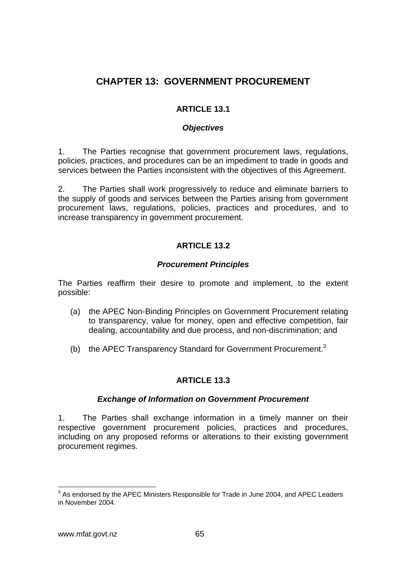# **CHAPTER 13: GOVERNMENT PROCUREMENT**

# **ARTICLE 13.1**

# *Objectives*

1. The Parties recognise that government procurement laws, regulations, policies, practices, and procedures can be an impediment to trade in goods and services between the Parties inconsistent with the objectives of this Agreement.

2. The Parties shall work progressively to reduce and eliminate barriers to the supply of goods and services between the Parties arising from government procurement laws, regulations, policies, practices and procedures, and to increase transparency in government procurement.

# **ARTICLE 13.2**

# *Procurement P***r***inciples*

The Parties reaffirm their desire to promote and implement, to the extent possible:

- (a) the APEC Non-Binding Principles on Government Procurement relating to transparency, value for money, open and effective competition, fair dealing, accountability and due process, and non-discrimination; and
- (b) the APEC Transparency Standard for Government Procurement.<sup>3</sup>

# **ARTICLE 13.3**

## *Exchange of Information on Government Procurement*

1. The Parties shall exchange information in a timely manner on their respective government procurement policies, practices and procedures, including on any proposed reforms or alterations to their existing government procurement regimes.

<span id="page-73-0"></span> <sup>3</sup> As endorsed by the APEC Ministers Responsible for Trade in June 2004, and APEC Leaders in November 2004.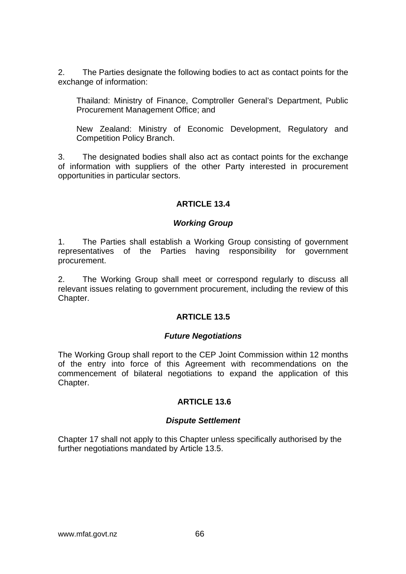2. The Parties designate the following bodies to act as contact points for the exchange of information:

Thailand: Ministry of Finance, Comptroller General's Department, Public Procurement Management Office; and

New Zealand: Ministry of Economic Development, Regulatory and Competition Policy Branch.

3. The designated bodies shall also act as contact points for the exchange of information with suppliers of the other Party interested in procurement opportunities in particular sectors.

# **ARTICLE 13.4**

# *Working Group*

1. The Parties shall establish a Working Group consisting of government representatives of the Parties having responsibility for government procurement.

2. The Working Group shall meet or correspond regularly to discuss all relevant issues relating to government procurement, including the review of this Chapter.

## **ARTICLE 13.5**

## *Future Negotiations*

The Working Group shall report to the CEP Joint Commission within 12 months of the entry into force of this Agreement with recommendations on the commencement of bilateral negotiations to expand the application of this Chapter.

# **ARTICLE 13.6**

## *Dispute Settlement*

Chapter 17 shall not apply to this Chapter unless specifically authorised by the further negotiations mandated by Article 13.5.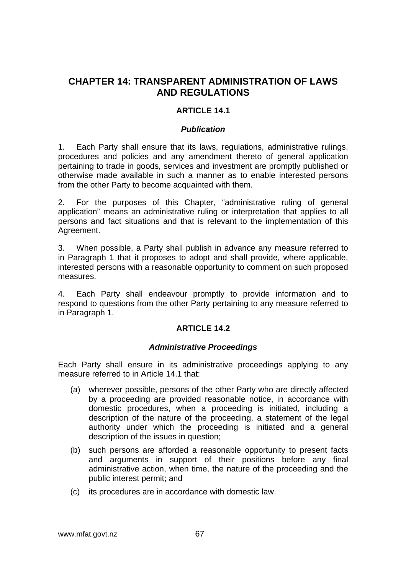# **CHAPTER 14: TRANSPARENT ADMINISTRATION OF LAWS AND REGULATIONS**

# **ARTICLE 14.1**

### *Publication*

1. Each Party shall ensure that its laws, regulations, administrative rulings, procedures and policies and any amendment thereto of general application pertaining to trade in goods, services and investment are promptly published or otherwise made available in such a manner as to enable interested persons from the other Party to become acquainted with them.

2. For the purposes of this Chapter, "administrative ruling of general application" means an administrative ruling or interpretation that applies to all persons and fact situations and that is relevant to the implementation of this Agreement.

3. When possible, a Party shall publish in advance any measure referred to in Paragraph 1 that it proposes to adopt and shall provide, where applicable, interested persons with a reasonable opportunity to comment on such proposed measures.

4. Each Party shall endeavour promptly to provide information and to respond to questions from the other Party pertaining to any measure referred to in Paragraph 1.

## **ARTICLE 14.2**

## *Administrative Proceedings*

Each Party shall ensure in its administrative proceedings applying to any measure referred to in Article 14.1 that:

- (a) wherever possible, persons of the other Party who are directly affected by a proceeding are provided reasonable notice, in accordance with domestic procedures, when a proceeding is initiated, including a description of the nature of the proceeding, a statement of the legal authority under which the proceeding is initiated and a general description of the issues in question;
- (b) such persons are afforded a reasonable opportunity to present facts and arguments in support of their positions before any final administrative action, when time, the nature of the proceeding and the public interest permit; and
- (c) its procedures are in accordance with domestic law.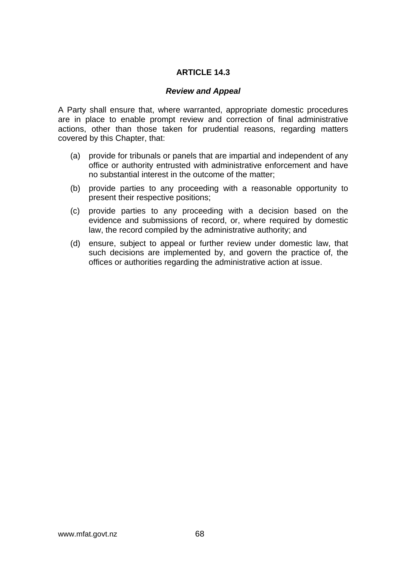# **ARTICLE 14.3**

## *Review and Appeal*

A Party shall ensure that, where warranted, appropriate domestic procedures are in place to enable prompt review and correction of final administrative actions, other than those taken for prudential reasons, regarding matters covered by this Chapter, that:

- (a) provide for tribunals or panels that are impartial and independent of any office or authority entrusted with administrative enforcement and have no substantial interest in the outcome of the matter;
- (b) provide parties to any proceeding with a reasonable opportunity to present their respective positions;
- (c) provide parties to any proceeding with a decision based on the evidence and submissions of record, or, where required by domestic law, the record compiled by the administrative authority; and
- (d) ensure, subject to appeal or further review under domestic law, that such decisions are implemented by, and govern the practice of, the offices or authorities regarding the administrative action at issue.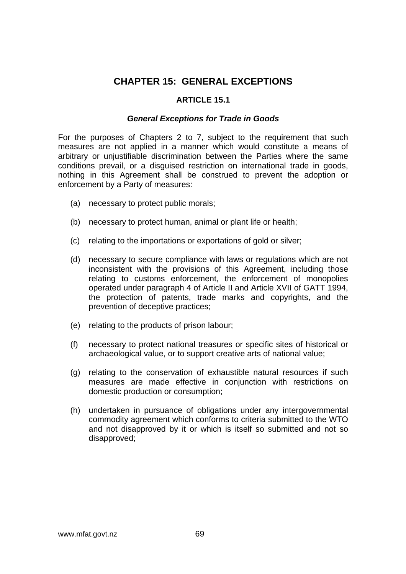# **CHAPTER 15: GENERAL EXCEPTIONS**

# **ARTICLE 15.1**

### *General Exceptions for Trade in Goods*

For the purposes of Chapters 2 to 7, subject to the requirement that such measures are not applied in a manner which would constitute a means of arbitrary or unjustifiable discrimination between the Parties where the same conditions prevail, or a disguised restriction on international trade in goods, nothing in this Agreement shall be construed to prevent the adoption or enforcement by a Party of measures:

- (a) necessary to protect public morals;
- (b) necessary to protect human, animal or plant life or health;
- (c) relating to the importations or exportations of gold or silver;
- (d) necessary to secure compliance with laws or regulations which are not inconsistent with the provisions of this Agreement, including those relating to customs enforcement, the enforcement of monopolies operated under paragraph 4 of Article II and Article XVII of GATT 1994, the protection of patents, trade marks and copyrights, and the prevention of deceptive practices;
- (e) relating to the products of prison labour;
- (f) necessary to protect national treasures or specific sites of historical or archaeological value, or to support creative arts of national value;
- (g) relating to the conservation of exhaustible natural resources if such measures are made effective in conjunction with restrictions on domestic production or consumption;
- (h) undertaken in pursuance of obligations under any intergovernmental commodity agreement which conforms to criteria submitted to the WTO and not disapproved by it or which is itself so submitted and not so disapproved;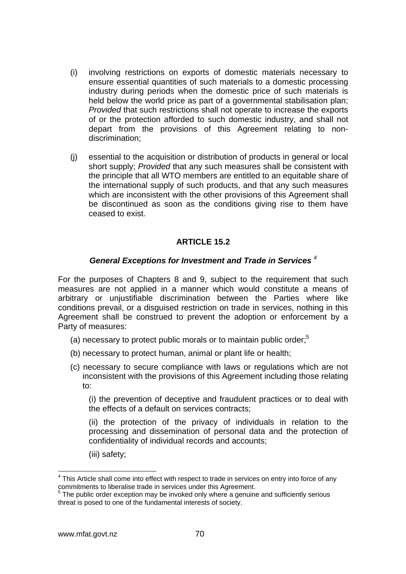- (i) involving restrictions on exports of domestic materials necessary to ensure essential quantities of such materials to a domestic processing industry during periods when the domestic price of such materials is held below the world price as part of a governmental stabilisation plan; *Provided* that such restrictions shall not operate to increase the exports of or the protection afforded to such domestic industry, and shall not depart from the provisions of this Agreement relating to nondiscrimination;
- (j) essential to the acquisition or distribution of products in general or local short supply; *Provided* that any such measures shall be consistent with the principle that all WTO members are entitled to an equitable share of the international supply of such products, and that any such measures which are inconsistent with the other provisions of this Agreement shall be discontinued as soon as the conditions giving rise to them have ceased to exist.

# **ARTICLE 15.2**

# *General Exceptions for Investment and Trade in Services [4](#page-78-0)*

For the purposes of Chapters 8 and 9, subject to the requirement that such measures are not applied in a manner which would constitute a means of arbitrary or unjustifiable discrimination between the Parties where like conditions prevail, or a disguised restriction on trade in services, nothing in this Agreement shall be construed to prevent the adoption or enforcement by a Party of measures:

- (a) necessary to protect public morals or to maintain public order; $<sup>5</sup>$  $<sup>5</sup>$  $<sup>5</sup>$ </sup>
- (b) necessary to protect human, animal or plant life or health;
- (c) necessary to secure compliance with laws or regulations which are not inconsistent with the provisions of this Agreement including those relating to:
	- (i) the prevention of deceptive and fraudulent practices or to deal with the effects of a default on services contracts;
	- (ii) the protection of the privacy of individuals in relation to the processing and dissemination of personal data and the protection of confidentiality of individual records and accounts;
	- (iii) safety;

<span id="page-78-0"></span> <sup>4</sup> This Article shall come into effect with respect to trade in services on entry into force of any commitments to liberalise trade in services under this Agreement.<br><sup>5</sup> The public arder execution may be invoked only where a genuing

<span id="page-78-1"></span>The public order exception may be invoked only where a genuine and sufficiently serious threat is posed to one of the fundamental interests of society.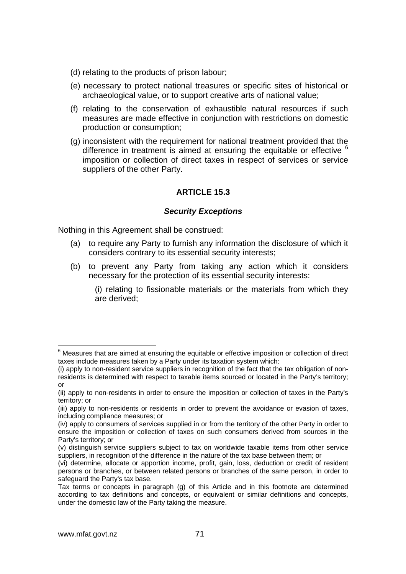- (d) relating to the products of prison labour;
- (e) necessary to protect national treasures or specific sites of historical or archaeological value, or to support creative arts of national value;
- (f) relating to the conservation of exhaustible natural resources if such measures are made effective in conjunction with restrictions on domestic production or consumption;
- (g) inconsistent with the requirement for national treatment provided that the difference in treatment is aimed at ensuring the equitable or effective  $6$ imposition or collection of direct taxes in respect of services or service suppliers of the other Party.

# **ARTICLE 15.3**

## *Security Exceptions*

Nothing in this Agreement shall be construed:

- (a) to require any Party to furnish any information the disclosure of which it considers contrary to its essential security interests;
- (b) to prevent any Party from taking any action which it considers necessary for the protection of its essential security interests:
	- (i) relating to fissionable materials or the materials from which they are derived;

<span id="page-79-0"></span> <sup>6</sup> Measures that are aimed at ensuring the equitable or effective imposition or collection of direct taxes include measures taken by a Party under its taxation system which:

<sup>(</sup>i) apply to non-resident service suppliers in recognition of the fact that the tax obligation of nonresidents is determined with respect to taxable items sourced or located in the Party's territory; or

<sup>(</sup>ii) apply to non-residents in order to ensure the imposition or collection of taxes in the Party's territory; or

<sup>(</sup>iii) apply to non-residents or residents in order to prevent the avoidance or evasion of taxes, including compliance measures; or

<sup>(</sup>iv) apply to consumers of services supplied in or from the territory of the other Party in order to ensure the imposition or collection of taxes on such consumers derived from sources in the Party's territory; or

<sup>(</sup>v) distinguish service suppliers subject to tax on worldwide taxable items from other service suppliers, in recognition of the difference in the nature of the tax base between them; or

<sup>(</sup>vi) determine, allocate or apportion income, profit, gain, loss, deduction or credit of resident persons or branches, or between related persons or branches of the same person, in order to safeguard the Party's tax base.

Tax terms or concepts in paragraph (g) of this Article and in this footnote are determined according to tax definitions and concepts, or equivalent or similar definitions and concepts, under the domestic law of the Party taking the measure.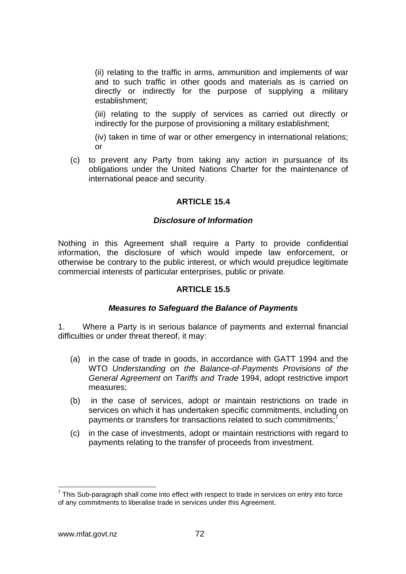(ii) relating to the traffic in arms, ammunition and implements of war and to such traffic in other goods and materials as is carried on directly or indirectly for the purpose of supplying a military establishment;

(iii) relating to the supply of services as carried out directly or indirectly for the purpose of provisioning a military establishment;

(iv) taken in time of war or other emergency in international relations; or

(c) to prevent any Party from taking any action in pursuance of its obligations under the United Nations Charter for the maintenance of international peace and security.

# **ARTICLE 15.4**

### *Disclosure of Information*

Nothing in this Agreement shall require a Party to provide confidential information, the disclosure of which would impede law enforcement, or otherwise be contrary to the public interest, or which would prejudice legitimate commercial interests of particular enterprises, public or private.

## **ARTICLE 15.5**

## *Measures to Safeguard the Balance of Payments*

1. Where a Party is in serious balance of payments and external financial difficulties or under threat thereof, it may:

- (a) in the case of trade in goods, in accordance with GATT 1994 and the WTO *Understanding on the Balance-of-Payments Provisions of the General Agreement on Tariffs and Trade* 1994, adopt restrictive import measures;
- (b) in the case of services, adopt or maintain restrictions on trade in services on which it has undertaken specific commitments, including on payments or transfers for transactions related to such commitments;
- (c) in the case of investments, adopt or maintain restrictions with regard to payments relating to the transfer of proceeds from investment.

<span id="page-80-0"></span><sup>————————————————————&</sup>lt;br><sup>7</sup> This Sub-paragraph shall come into effect with respect to trade in services on entry into force of any commitments to liberalise trade in services under this Agreement.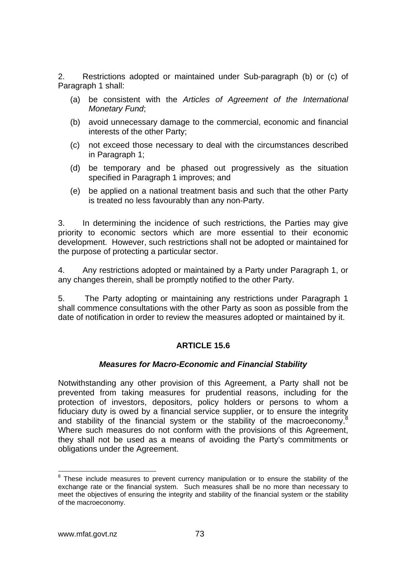2. Restrictions adopted or maintained under Sub-paragraph (b) or (c) of Paragraph 1 shall:

- (a) be consistent with the *Articles of Agreement of the International Monetary Fund*;
- (b) avoid unnecessary damage to the commercial, economic and financial interests of the other Party;
- (c) not exceed those necessary to deal with the circumstances described in Paragraph 1;
- (d) be temporary and be phased out progressively as the situation specified in Paragraph 1 improves; and
- (e) be applied on a national treatment basis and such that the other Party is treated no less favourably than any non-Party.

3. In determining the incidence of such restrictions, the Parties may give priority to economic sectors which are more essential to their economic development. However, such restrictions shall not be adopted or maintained for the purpose of protecting a particular sector.

4. Any restrictions adopted or maintained by a Party under Paragraph 1, or any changes therein, shall be promptly notified to the other Party.

5. The Party adopting or maintaining any restrictions under Paragraph 1 shall commence consultations with the other Party as soon as possible from the date of notification in order to review the measures adopted or maintained by it.

# **ARTICLE 15.6**

## *Measures for Macro-Economic and Financial Stability*

Notwithstanding any other provision of this Agreement, a Party shall not be prevented from taking measures for prudential reasons, including for the protection of investors, depositors, policy holders or persons to whom a fiduciary duty is owed by a financial service supplier, or to ensure the integrity and stability of the financial system or the stability of the macroeconomy.<sup>[8](#page-81-0)</sup> Where such measures do not conform with the provisions of this Agreement. they shall not be used as a means of avoiding the Party's commitments or obligations under the Agreement.

<span id="page-81-0"></span>**EXECUTE:**<br><sup>8</sup> These include measures to prevent currency manipulation or to ensure the stability of the exchange rate or the financial system. Such measures shall be no more than necessary to meet the objectives of ensuring the integrity and stability of the financial system or the stability of the macroeconomy.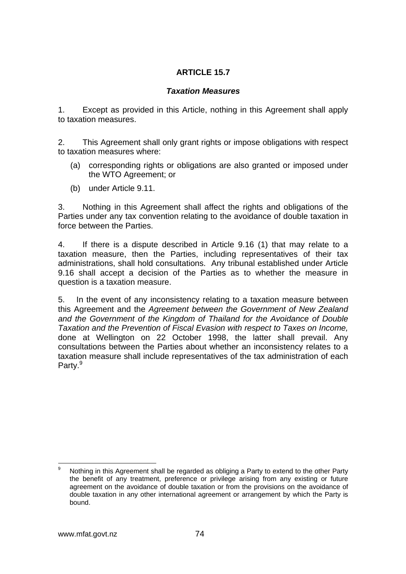# **ARTICLE 15.7**

# *Taxation Measures*

1. Except as provided in this Article, nothing in this Agreement shall apply to taxation measures.

2. This Agreement shall only grant rights or impose obligations with respect to taxation measures where:

- (a) corresponding rights or obligations are also granted or imposed under the WTO Agreement; or
- (b) under Article 9.11.

3. Nothing in this Agreement shall affect the rights and obligations of the Parties under any tax convention relating to the avoidance of double taxation in force between the Parties.

4. If there is a dispute described in Article 9.16 (1) that may relate to a taxation measure, then the Parties, including representatives of their tax administrations, shall hold consultations. Any tribunal established under Article 9.16 shall accept a decision of the Parties as to whether the measure in question is a taxation measure.

5. In the event of any inconsistency relating to a taxation measure between this Agreement and the *Agreement between the Government of New Zealand and the Government of the Kingdom of Thailand for the Avoidance of Double Taxation and the Prevention of Fiscal Evasion with respect to Taxes on Income,* done at Wellington on 22 October 1998, the latter shall prevail. Any consultations between the Parties about whether an inconsistency relates to a taxation measure shall include representatives of the tax administration of each Party.<sup>9</sup>

<span id="page-82-0"></span>Nothing in this Agreement shall be regarded as obliging a Party to extend to the other Party the benefit of any treatment, preference or privilege arising from any existing or future agreement on the avoidance of double taxation or from the provisions on the avoidance of double taxation in any other international agreement or arrangement by which the Party is bound.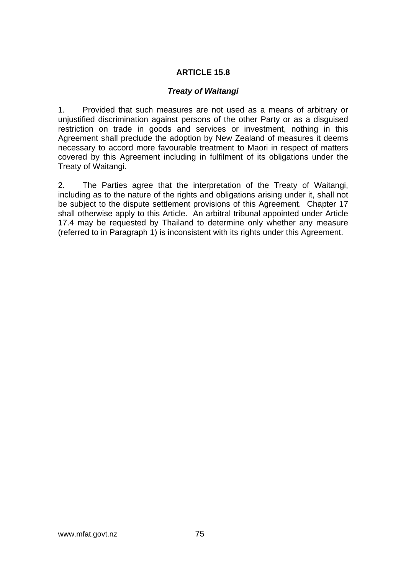# **ARTICLE 15.8**

# *Treaty of Waitangi*

1. Provided that such measures are not used as a means of arbitrary or unjustified discrimination against persons of the other Party or as a disguised restriction on trade in goods and services or investment, nothing in this Agreement shall preclude the adoption by New Zealand of measures it deems necessary to accord more favourable treatment to Maori in respect of matters covered by this Agreement including in fulfilment of its obligations under the Treaty of Waitangi.

2. The Parties agree that the interpretation of the Treaty of Waitangi, including as to the nature of the rights and obligations arising under it, shall not be subject to the dispute settlement provisions of this Agreement. Chapter 17 shall otherwise apply to this Article. An arbitral tribunal appointed under Article 17.4 may be requested by Thailand to determine only whether any measure (referred to in Paragraph 1) is inconsistent with its rights under this Agreement.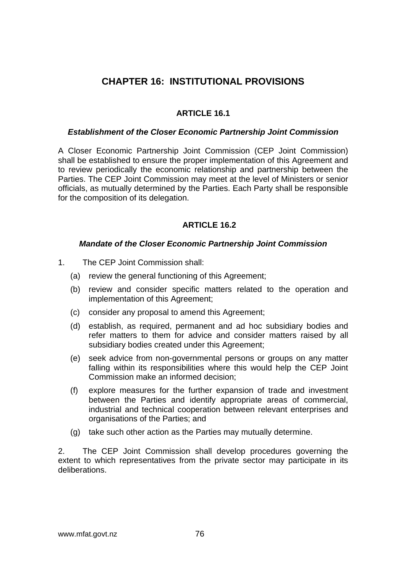# **CHAPTER 16: INSTITUTIONAL PROVISIONS**

# **ARTICLE 16.1**

### *Establishment of the Closer Economic Partnership Joint Commission*

A Closer Economic Partnership Joint Commission (CEP Joint Commission) shall be established to ensure the proper implementation of this Agreement and to review periodically the economic relationship and partnership between the Parties. The CEP Joint Commission may meet at the level of Ministers or senior officials, as mutually determined by the Parties. Each Party shall be responsible for the composition of its delegation.

# **ARTICLE 16.2**

## *Mandate of the Closer Economic Partnership Joint Commission*

- 1. The CEP Joint Commission shall:
	- (a) review the general functioning of this Agreement;
	- (b) review and consider specific matters related to the operation and implementation of this Agreement;
	- (c) consider any proposal to amend this Agreement;
	- (d) establish, as required, permanent and ad hoc subsidiary bodies and refer matters to them for advice and consider matters raised by all subsidiary bodies created under this Agreement;
	- (e) seek advice from non-governmental persons or groups on any matter falling within its responsibilities where this would help the CEP Joint Commission make an informed decision;
	- (f) explore measures for the further expansion of trade and investment between the Parties and identify appropriate areas of commercial, industrial and technical cooperation between relevant enterprises and organisations of the Parties; and
	- (g) take such other action as the Parties may mutually determine.

2. The CEP Joint Commission shall develop procedures governing the extent to which representatives from the private sector may participate in its deliberations.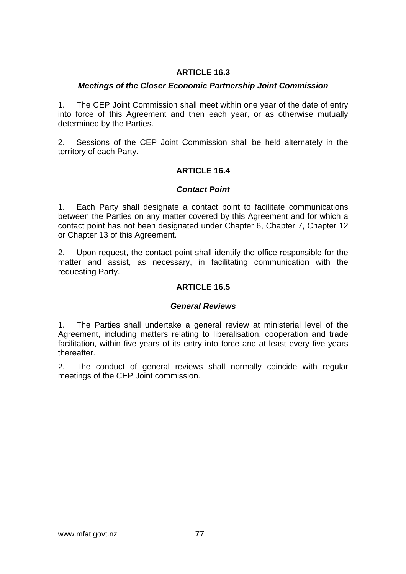# **ARTICLE 16.3**

## *Meetings of the Closer Economic Partnership Joint Commission*

1. The CEP Joint Commission shall meet within one year of the date of entry into force of this Agreement and then each year, or as otherwise mutually determined by the Parties.

2. Sessions of the CEP Joint Commission shall be held alternately in the territory of each Party.

# **ARTICLE 16.4**

## *Contact Point*

1. Each Party shall designate a contact point to facilitate communications between the Parties on any matter covered by this Agreement and for which a contact point has not been designated under Chapter 6, Chapter 7, Chapter 12 or Chapter 13 of this Agreement.

2. Upon request, the contact point shall identify the office responsible for the matter and assist, as necessary, in facilitating communication with the requesting Party.

# **ARTICLE 16.5**

## *General Reviews*

1. The Parties shall undertake a general review at ministerial level of the Agreement, including matters relating to liberalisation, cooperation and trade facilitation, within five years of its entry into force and at least every five years thereafter.

2. The conduct of general reviews shall normally coincide with regular meetings of the CEP Joint commission.

www.mfat.govt.nz 77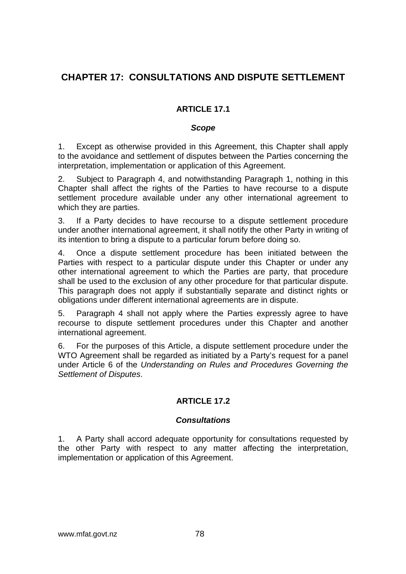# **CHAPTER 17: CONSULTATIONS AND DISPUTE SETTLEMENT**

# **ARTICLE 17.1**

### *Scope*

1. Except as otherwise provided in this Agreement, this Chapter shall apply to the avoidance and settlement of disputes between the Parties concerning the interpretation, implementation or application of this Agreement.

2. Subject to Paragraph 4, and notwithstanding Paragraph 1, nothing in this Chapter shall affect the rights of the Parties to have recourse to a dispute settlement procedure available under any other international agreement to which they are parties.

3. If a Party decides to have recourse to a dispute settlement procedure under another international agreement, it shall notify the other Party in writing of its intention to bring a dispute to a particular forum before doing so.

4. Once a dispute settlement procedure has been initiated between the Parties with respect to a particular dispute under this Chapter or under any other international agreement to which the Parties are party, that procedure shall be used to the exclusion of any other procedure for that particular dispute. This paragraph does not apply if substantially separate and distinct rights or obligations under different international agreements are in dispute.

5. Paragraph 4 shall not apply where the Parties expressly agree to have recourse to dispute settlement procedures under this Chapter and another international agreement.

6. For the purposes of this Article, a dispute settlement procedure under the WTO Agreement shall be regarded as initiated by a Party's request for a panel under Article 6 of the *Understanding on Rules and Procedures Governing the Settlement of Disputes*.

# **ARTICLE 17.2**

## *Consultations*

1. A Party shall accord adequate opportunity for consultations requested by the other Party with respect to any matter affecting the interpretation, implementation or application of this Agreement.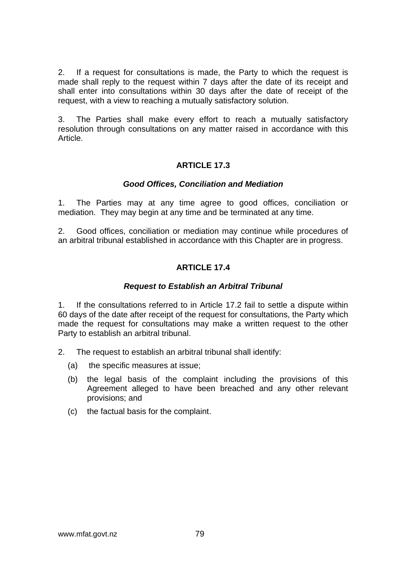2. If a request for consultations is made, the Party to which the request is made shall reply to the request within 7 days after the date of its receipt and shall enter into consultations within 30 days after the date of receipt of the request, with a view to reaching a mutually satisfactory solution.

3. The Parties shall make every effort to reach a mutually satisfactory resolution through consultations on any matter raised in accordance with this Article.

# **ARTICLE 17.3**

## *Good Offices, Conciliation and Mediation*

1. The Parties may at any time agree to good offices, conciliation or mediation. They may begin at any time and be terminated at any time.

2. Good offices, conciliation or mediation may continue while procedures of an arbitral tribunal established in accordance with this Chapter are in progress.

# **ARTICLE 17.4**

### *Request to Establish an Arbitral Tribunal*

1. If the consultations referred to in Article 17.2 fail to settle a dispute within 60 days of the date after receipt of the request for consultations, the Party which made the request for consultations may make a written request to the other Party to establish an arbitral tribunal.

- 2. The request to establish an arbitral tribunal shall identify:
	- (a) the specific measures at issue;
	- (b) the legal basis of the complaint including the provisions of this Agreement alleged to have been breached and any other relevant provisions; and
	- (c) the factual basis for the complaint.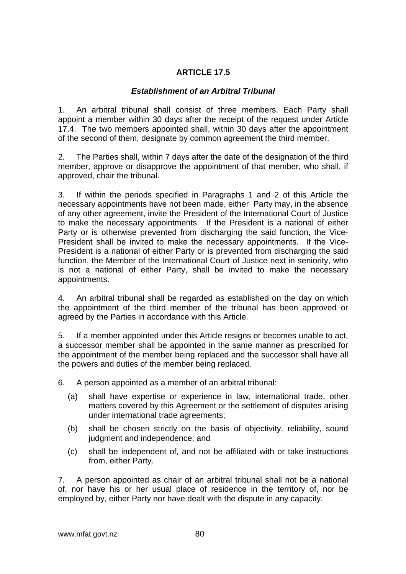# **ARTICLE 17.5**

## *Establishment of an Arbitral Tribunal*

1. An arbitral tribunal shall consist of three members. Each Party shall appoint a member within 30 days after the receipt of the request under Article 17.4. The two members appointed shall, within 30 days after the appointment of the second of them, designate by common agreement the third member.

2. The Parties shall, within 7 days after the date of the designation of the third member, approve or disapprove the appointment of that member, who shall, if approved, chair the tribunal.

3. If within the periods specified in Paragraphs 1 and 2 of this Article the necessary appointments have not been made, either Party may, in the absence of any other agreement, invite the President of the International Court of Justice to make the necessary appointments. If the President is a national of either Party or is otherwise prevented from discharging the said function, the Vice-President shall be invited to make the necessary appointments. If the Vice-President is a national of either Party or is prevented from discharging the said function, the Member of the International Court of Justice next in seniority, who is not a national of either Party, shall be invited to make the necessary appointments.

4. An arbitral tribunal shall be regarded as established on the day on which the appointment of the third member of the tribunal has been approved or agreed by the Parties in accordance with this Article.

5. If a member appointed under this Article resigns or becomes unable to act, a successor member shall be appointed in the same manner as prescribed for the appointment of the member being replaced and the successor shall have all the powers and duties of the member being replaced.

- 6. A person appointed as a member of an arbitral tribunal:
	- (a) shall have expertise or experience in law, international trade, other matters covered by this Agreement or the settlement of disputes arising under international trade agreements;
	- (b) shall be chosen strictly on the basis of objectivity, reliability, sound judgment and independence; and
	- (c) shall be independent of, and not be affiliated with or take instructions from, either Party.

7. A person appointed as chair of an arbitral tribunal shall not be a national of, nor have his or her usual place of residence in the territory of, nor be employed by, either Party nor have dealt with the dispute in any capacity.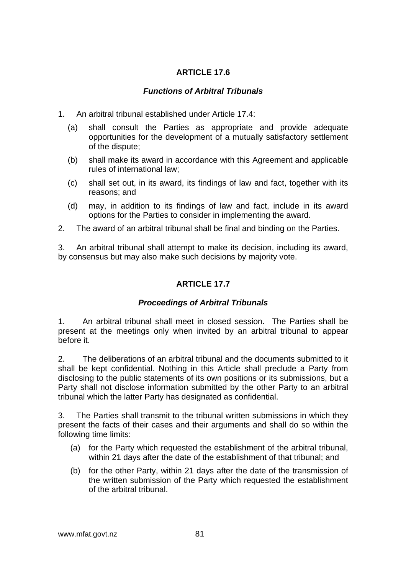# **ARTICLE 17.6**

# *Functions of Arbitral Tribunals*

- 1. An arbitral tribunal established under Article 17.4:
	- (a) shall consult the Parties as appropriate and provide adequate opportunities for the development of a mutually satisfactory settlement of the dispute;
	- (b) shall make its award in accordance with this Agreement and applicable rules of international law;
	- (c) shall set out, in its award, its findings of law and fact, together with its reasons; and
	- (d) may, in addition to its findings of law and fact, include in its award options for the Parties to consider in implementing the award.
- 2. The award of an arbitral tribunal shall be final and binding on the Parties.

3. An arbitral tribunal shall attempt to make its decision, including its award, by consensus but may also make such decisions by majority vote.

# **ARTICLE 17.7**

# *Proceedings of Arbitral Tribunals*

1. An arbitral tribunal shall meet in closed session. The Parties shall be present at the meetings only when invited by an arbitral tribunal to appear before it.

2. The deliberations of an arbitral tribunal and the documents submitted to it shall be kept confidential. Nothing in this Article shall preclude a Party from disclosing to the public statements of its own positions or its submissions, but a Party shall not disclose information submitted by the other Party to an arbitral tribunal which the latter Party has designated as confidential.

3. The Parties shall transmit to the tribunal written submissions in which they present the facts of their cases and their arguments and shall do so within the following time limits:

- (a) for the Party which requested the establishment of the arbitral tribunal, within 21 days after the date of the establishment of that tribunal; and
- (b) for the other Party, within 21 days after the date of the transmission of the written submission of the Party which requested the establishment of the arbitral tribunal.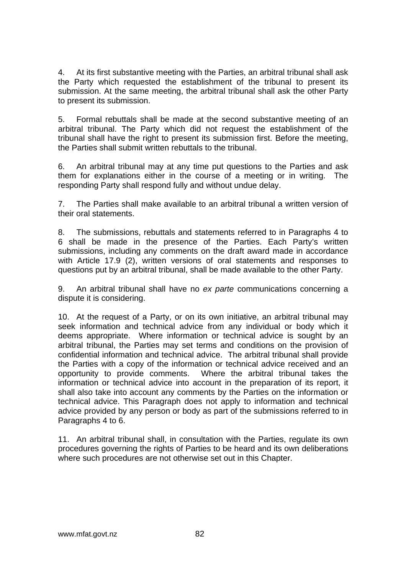4. At its first substantive meeting with the Parties, an arbitral tribunal shall ask the Party which requested the establishment of the tribunal to present its submission. At the same meeting, the arbitral tribunal shall ask the other Party to present its submission.

5. Formal rebuttals shall be made at the second substantive meeting of an arbitral tribunal. The Party which did not request the establishment of the tribunal shall have the right to present its submission first. Before the meeting, the Parties shall submit written rebuttals to the tribunal.

6. An arbitral tribunal may at any time put questions to the Parties and ask them for explanations either in the course of a meeting or in writing. The responding Party shall respond fully and without undue delay.

7. The Parties shall make available to an arbitral tribunal a written version of their oral statements.

8. The submissions, rebuttals and statements referred to in Paragraphs 4 to 6 shall be made in the presence of the Parties. Each Party's written submissions, including any comments on the draft award made in accordance with Article 17.9 (2), written versions of oral statements and responses to questions put by an arbitral tribunal, shall be made available to the other Party.

9. An arbitral tribunal shall have no *ex parte* communications concerning a dispute it is considering.

10. At the request of a Party, or on its own initiative, an arbitral tribunal may seek information and technical advice from any individual or body which it deems appropriate. Where information or technical advice is sought by an arbitral tribunal, the Parties may set terms and conditions on the provision of confidential information and technical advice. The arbitral tribunal shall provide the Parties with a copy of the information or technical advice received and an opportunity to provide comments. Where the arbitral tribunal takes the information or technical advice into account in the preparation of its report, it shall also take into account any comments by the Parties on the information or technical advice. This Paragraph does not apply to information and technical advice provided by any person or body as part of the submissions referred to in Paragraphs 4 to 6.

11. An arbitral tribunal shall, in consultation with the Parties, regulate its own procedures governing the rights of Parties to be heard and its own deliberations where such procedures are not otherwise set out in this Chapter.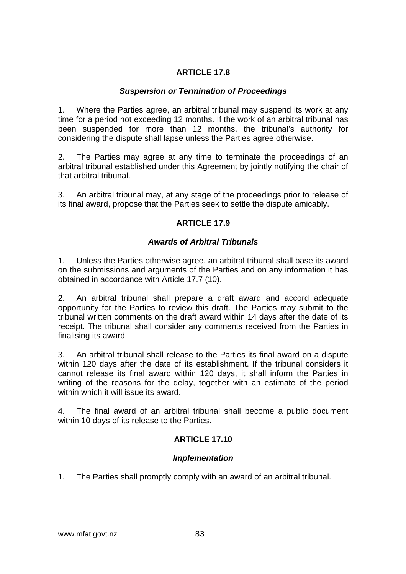# **ARTICLE 17.8**

# *Suspension or Termination of Proceedings*

1. Where the Parties agree, an arbitral tribunal may suspend its work at any time for a period not exceeding 12 months. If the work of an arbitral tribunal has been suspended for more than 12 months, the tribunal's authority for considering the dispute shall lapse unless the Parties agree otherwise.

2. The Parties may agree at any time to terminate the proceedings of an arbitral tribunal established under this Agreement by jointly notifying the chair of that arbitral tribunal.

3. An arbitral tribunal may, at any stage of the proceedings prior to release of its final award, propose that the Parties seek to settle the dispute amicably.

# **ARTICLE 17.9**

# *Awards of Arbitral Tribunals*

1. Unless the Parties otherwise agree, an arbitral tribunal shall base its award on the submissions and arguments of the Parties and on any information it has obtained in accordance with Article 17.7 (10).

2. An arbitral tribunal shall prepare a draft award and accord adequate opportunity for the Parties to review this draft. The Parties may submit to the tribunal written comments on the draft award within 14 days after the date of its receipt. The tribunal shall consider any comments received from the Parties in finalising its award.

3. An arbitral tribunal shall release to the Parties its final award on a dispute within 120 days after the date of its establishment. If the tribunal considers it cannot release its final award within 120 days, it shall inform the Parties in writing of the reasons for the delay, together with an estimate of the period within which it will issue its award.

4. The final award of an arbitral tribunal shall become a public document within 10 days of its release to the Parties.

# **ARTICLE 17.10**

## *Implementation*

1. The Parties shall promptly comply with an award of an arbitral tribunal.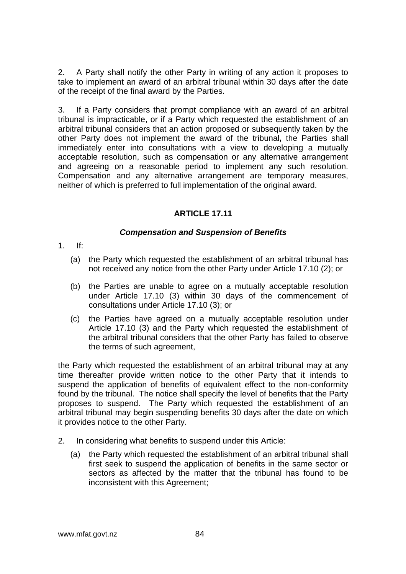2. A Party shall notify the other Party in writing of any action it proposes to take to implement an award of an arbitral tribunal within 30 days after the date of the receipt of the final award by the Parties.

3. If a Party considers that prompt compliance with an award of an arbitral tribunal is impracticable, or if a Party which requested the establishment of an arbitral tribunal considers that an action proposed or subsequently taken by the other Party does not implement the award of the tribunal**,** the Parties shall immediately enter into consultations with a view to developing a mutually acceptable resolution, such as compensation or any alternative arrangement and agreeing on a reasonable period to implement any such resolution. Compensation and any alternative arrangement are temporary measures, neither of which is preferred to full implementation of the original award.

# **ARTICLE 17.11**

# *Compensation and Suspension of Benefits*

- 1. If:
	- (a) the Party which requested the establishment of an arbitral tribunal has not received any notice from the other Party under Article 17.10 (2); or
	- (b) the Parties are unable to agree on a mutually acceptable resolution under Article 17.10 (3) within 30 days of the commencement of consultations under Article 17.10 (3); or
	- (c) the Parties have agreed on a mutually acceptable resolution under Article 17.10 (3) and the Party which requested the establishment of the arbitral tribunal considers that the other Party has failed to observe the terms of such agreement,

the Party which requested the establishment of an arbitral tribunal may at any time thereafter provide written notice to the other Party that it intends to suspend the application of benefits of equivalent effect to the non-conformity found by the tribunal. The notice shall specify the level of benefits that the Party proposes to suspend. The Party which requested the establishment of an arbitral tribunal may begin suspending benefits 30 days after the date on which it provides notice to the other Party.

- 2. In considering what benefits to suspend under this Article:
	- (a) the Party which requested the establishment of an arbitral tribunal shall first seek to suspend the application of benefits in the same sector or sectors as affected by the matter that the tribunal has found to be inconsistent with this Agreement;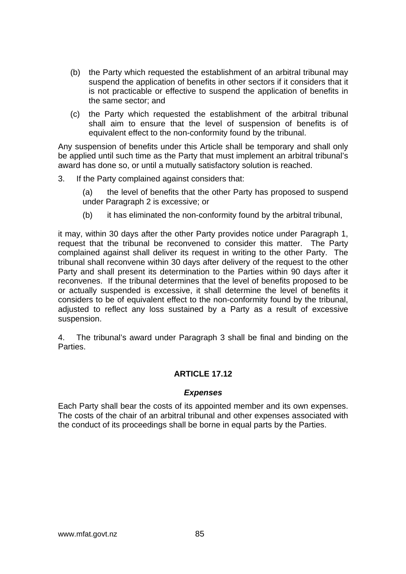- (b) the Party which requested the establishment of an arbitral tribunal may suspend the application of benefits in other sectors if it considers that it is not practicable or effective to suspend the application of benefits in the same sector; and
- (c) the Party which requested the establishment of the arbitral tribunal shall aim to ensure that the level of suspension of benefits is of equivalent effect to the non-conformity found by the tribunal.

Any suspension of benefits under this Article shall be temporary and shall only be applied until such time as the Party that must implement an arbitral tribunal's award has done so, or until a mutually satisfactory solution is reached.

- 3. If the Party complained against considers that:
	- (a) the level of benefits that the other Party has proposed to suspend under Paragraph 2 is excessive; or
	- (b) it has eliminated the non-conformity found by the arbitral tribunal,

it may, within 30 days after the other Party provides notice under Paragraph 1, request that the tribunal be reconvened to consider this matter. The Party complained against shall deliver its request in writing to the other Party. The tribunal shall reconvene within 30 days after delivery of the request to the other Party and shall present its determination to the Parties within 90 days after it reconvenes. If the tribunal determines that the level of benefits proposed to be or actually suspended is excessive, it shall determine the level of benefits it considers to be of equivalent effect to the non-conformity found by the tribunal, adjusted to reflect any loss sustained by a Party as a result of excessive suspension.

4. The tribunal's award under Paragraph 3 shall be final and binding on the Parties.

## **ARTICLE 17.12**

#### *Expenses*

Each Party shall bear the costs of its appointed member and its own expenses. The costs of the chair of an arbitral tribunal and other expenses associated with the conduct of its proceedings shall be borne in equal parts by the Parties.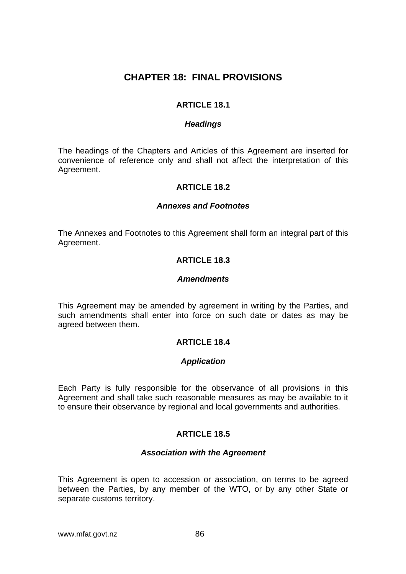# **CHAPTER 18: FINAL PROVISIONS**

## **ARTICLE 18.1**

#### *Headings*

The headings of the Chapters and Articles of this Agreement are inserted for convenience of reference only and shall not affect the interpretation of this Agreement.

# **ARTICLE 18.2**

### *Annexes and Footnotes*

The Annexes and Footnotes to this Agreement shall form an integral part of this Agreement.

## **ARTICLE 18.3**

#### *Amendments*

This Agreement may be amended by agreement in writing by the Parties, and such amendments shall enter into force on such date or dates as may be agreed between them.

## **ARTICLE 18.4**

## *Application*

Each Party is fully responsible for the observance of all provisions in this Agreement and shall take such reasonable measures as may be available to it to ensure their observance by regional and local governments and authorities.

## **ARTICLE 18.5**

#### *Association with the Agreement*

This Agreement is open to accession or association, on terms to be agreed between the Parties, by any member of the WTO, or by any other State or separate customs territory.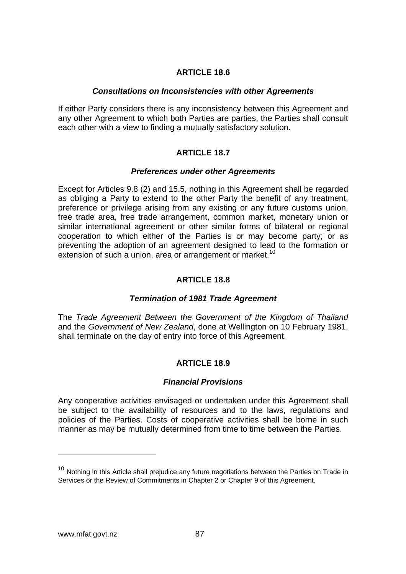# **ARTICLE 18.6**

### *Consultations on Inconsistencies with other Agreements*

If either Party considers there is any inconsistency between this Agreement and any other Agreement to which both Parties are parties, the Parties shall consult each other with a view to finding a mutually satisfactory solution.

# **ARTICLE 18.7**

#### *Preferences under other Agreements*

Except for Articles 9.8 (2) and 15.5, nothing in this Agreement shall be regarded as obliging a Party to extend to the other Party the benefit of any treatment, preference or privilege arising from any existing or any future customs union, free trade area, free trade arrangement, common market, monetary union or similar international agreement or other similar forms of bilateral or regional cooperation to which either of the Parties is or may become party; or as preventing the adoption of an agreement designed to lead to the formation or extension of such a union, area or arrangement or market.<sup>[10](#page-95-0)</sup>

# **ARTICLE 18.8**

## *Termination of 1981 Trade Agreement*

The *Trade Agreement Between the Government of the Kingdom of Thailand*  and the *Government of New Zealand*, done at Wellington on 10 February 1981, shall terminate on the day of entry into force of this Agreement.

# **ARTICLE 18.9**

## *Financial Provisions*

Any cooperative activities envisaged or undertaken under this Agreement shall be subject to the availability of resources and to the laws, regulations and policies of the Parties. Costs of cooperative activities shall be borne in such manner as may be mutually determined from time to time between the Parties.

l

<span id="page-95-0"></span> $10$  Nothing in this Article shall prejudice any future negotiations between the Parties on Trade in Services or the Review of Commitments in Chapter 2 or Chapter 9 of this Agreement.